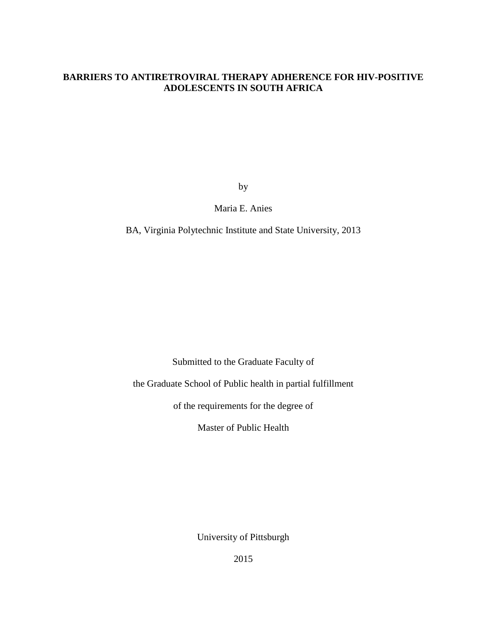## **BARRIERS TO ANTIRETROVIRAL THERAPY ADHERENCE FOR HIV-POSITIVE ADOLESCENTS IN SOUTH AFRICA**

by

Maria E. Anies

BA, Virginia Polytechnic Institute and State University, 2013

Submitted to the Graduate Faculty of

the Graduate School of Public health in partial fulfillment

of the requirements for the degree of

Master of Public Health

University of Pittsburgh

2015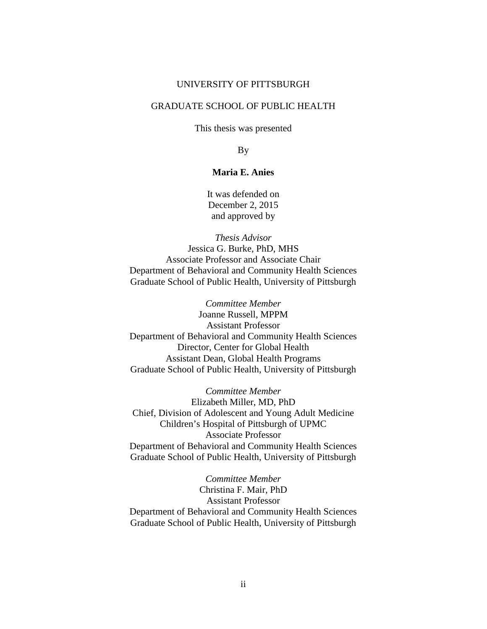### UNIVERSITY OF PITTSBURGH

## GRADUATE SCHOOL OF PUBLIC HEALTH

This thesis was presented

By

## **Maria E. Anies**

It was defended on December 2, 2015 and approved by

*Thesis Advisor* Jessica G. Burke, PhD, MHS Associate Professor and Associate Chair Department of Behavioral and Community Health Sciences Graduate School of Public Health, University of Pittsburgh

*Committee Member* Joanne Russell, MPPM Assistant Professor Department of Behavioral and Community Health Sciences Director, Center for Global Health Assistant Dean, Global Health Programs Graduate School of Public Health, University of Pittsburgh

*Committee Member* Elizabeth Miller, MD, PhD Chief, Division of Adolescent and Young Adult Medicine Children's Hospital of Pittsburgh of UPMC Associate Professor Department of Behavioral and Community Health Sciences Graduate School of Public Health, University of Pittsburgh

*Committee Member* Christina F. Mair, PhD Assistant Professor Department of Behavioral and Community Health Sciences Graduate School of Public Health, University of Pittsburgh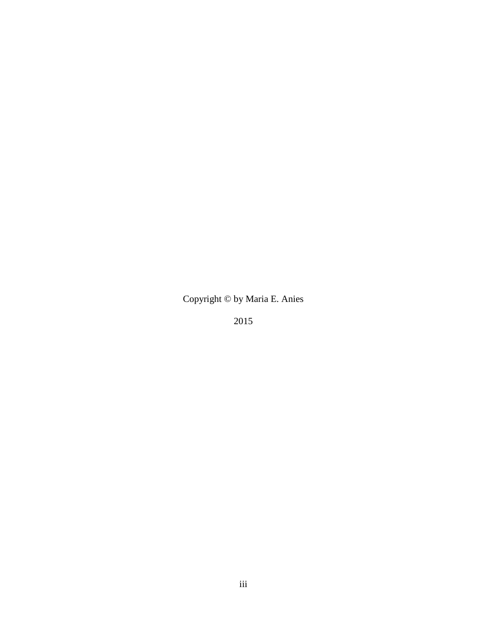# Copyright © by Maria E. Anies

2015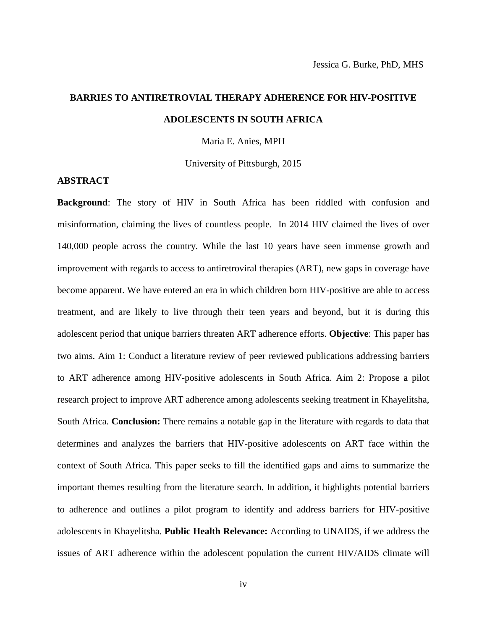# **BARRIES TO ANTIRETROVIAL THERAPY ADHERENCE FOR HIV-POSITIVE ADOLESCENTS IN SOUTH AFRICA**

Maria E. Anies, MPH

University of Pittsburgh, 2015

#### **ABSTRACT**

**Background**: The story of HIV in South Africa has been riddled with confusion and misinformation, claiming the lives of countless people. In 2014 HIV claimed the lives of over 140,000 people across the country. While the last 10 years have seen immense growth and improvement with regards to access to antiretroviral therapies (ART), new gaps in coverage have become apparent. We have entered an era in which children born HIV-positive are able to access treatment, and are likely to live through their teen years and beyond, but it is during this adolescent period that unique barriers threaten ART adherence efforts. **Objective**: This paper has two aims. Aim 1: Conduct a literature review of peer reviewed publications addressing barriers to ART adherence among HIV-positive adolescents in South Africa. Aim 2: Propose a pilot research project to improve ART adherence among adolescents seeking treatment in Khayelitsha, South Africa. **Conclusion:** There remains a notable gap in the literature with regards to data that determines and analyzes the barriers that HIV-positive adolescents on ART face within the context of South Africa. This paper seeks to fill the identified gaps and aims to summarize the important themes resulting from the literature search. In addition, it highlights potential barriers to adherence and outlines a pilot program to identify and address barriers for HIV-positive adolescents in Khayelitsha. **Public Health Relevance:** According to UNAIDS, if we address the issues of ART adherence within the adolescent population the current HIV/AIDS climate will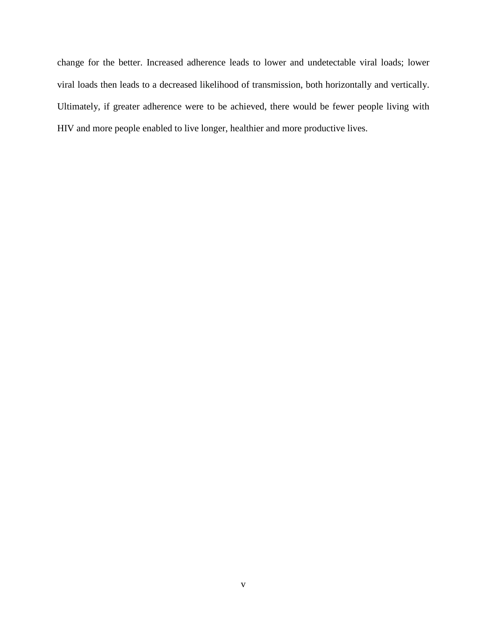change for the better. Increased adherence leads to lower and undetectable viral loads; lower viral loads then leads to a decreased likelihood of transmission, both horizontally and vertically. Ultimately, if greater adherence were to be achieved, there would be fewer people living with HIV and more people enabled to live longer, healthier and more productive lives.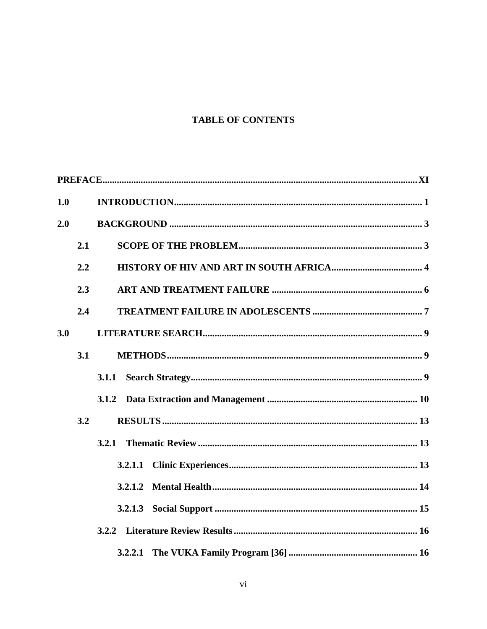## **TABLE OF CONTENTS**

| 1.0 |     |         |
|-----|-----|---------|
| 2.0 |     |         |
|     | 2.1 |         |
|     | 2.2 |         |
|     | 2.3 |         |
|     | 2.4 |         |
| 3.0 |     |         |
|     | 3.1 |         |
|     |     | 3.1.1   |
|     |     |         |
|     | 3.2 |         |
|     |     |         |
|     |     | 3.2.1.1 |
|     |     | 3.2.1.2 |
|     |     |         |
|     |     |         |
|     |     | 3.2.2.1 |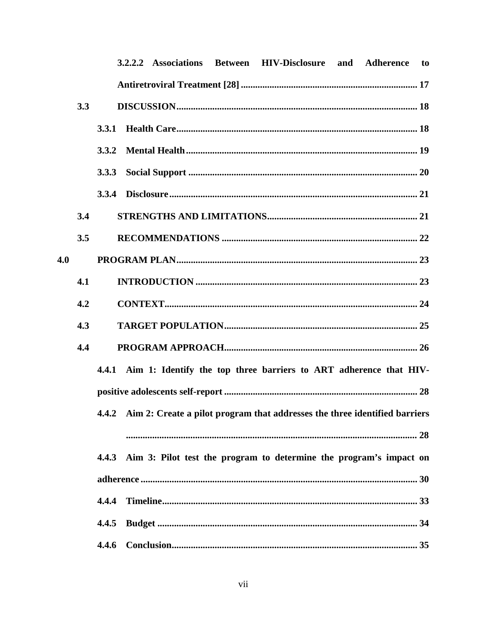|     |     |              |  | 3.2.2.2 Associations Between HIV-Disclosure and Adherence                        |  | to |
|-----|-----|--------------|--|----------------------------------------------------------------------------------|--|----|
|     |     |              |  |                                                                                  |  |    |
|     | 3.3 |              |  |                                                                                  |  |    |
|     |     | <b>3.3.1</b> |  |                                                                                  |  |    |
|     |     | <b>3.3.2</b> |  |                                                                                  |  |    |
|     |     | 3.3.3        |  |                                                                                  |  |    |
|     |     |              |  |                                                                                  |  |    |
|     | 3.4 |              |  |                                                                                  |  |    |
|     | 3.5 |              |  |                                                                                  |  |    |
| 4.0 |     |              |  |                                                                                  |  |    |
|     | 4.1 |              |  |                                                                                  |  |    |
|     | 4.2 |              |  |                                                                                  |  |    |
|     | 4.3 |              |  |                                                                                  |  |    |
|     | 4.4 |              |  |                                                                                  |  |    |
|     |     |              |  | 4.4.1 Aim 1: Identify the top three barriers to ART adherence that HIV-          |  |    |
|     |     |              |  |                                                                                  |  |    |
|     |     |              |  | 4.4.2 Aim 2: Create a pilot program that addresses the three identified barriers |  |    |
|     |     |              |  |                                                                                  |  |    |
|     |     |              |  | 4.4.3 Aim 3: Pilot test the program to determine the program's impact on         |  |    |
|     |     |              |  |                                                                                  |  |    |
|     |     |              |  |                                                                                  |  |    |
|     |     | 4.4.5        |  |                                                                                  |  |    |
|     |     |              |  |                                                                                  |  |    |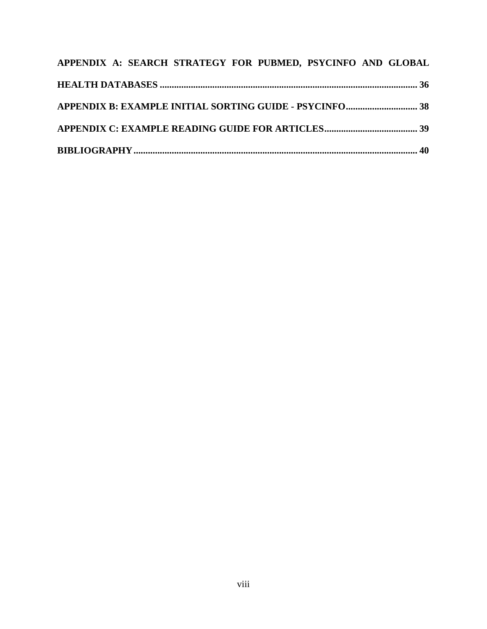| APPENDIX A: SEARCH STRATEGY FOR PUBMED, PSYCINFO AND GLOBAL |  |
|-------------------------------------------------------------|--|
|                                                             |  |
| APPENDIX B: EXAMPLE INITIAL SORTING GUIDE - PSYCINFO 38     |  |
|                                                             |  |
|                                                             |  |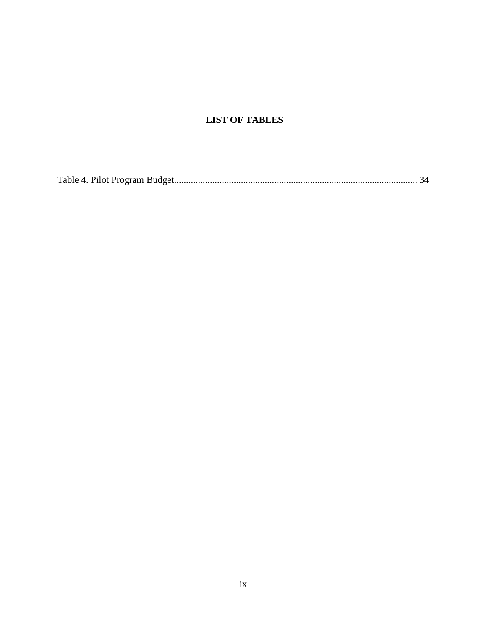## **LIST OF TABLES**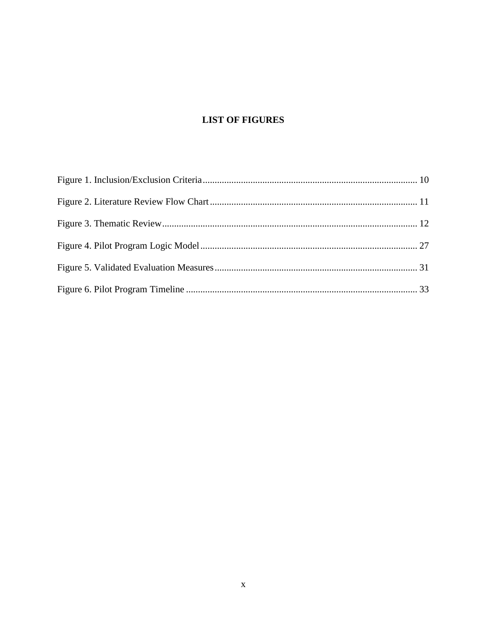# **LIST OF FIGURES**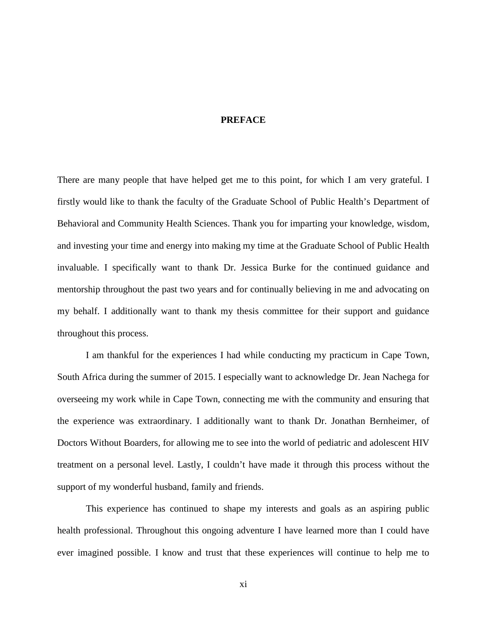## **PREFACE**

<span id="page-10-0"></span>There are many people that have helped get me to this point, for which I am very grateful. I firstly would like to thank the faculty of the Graduate School of Public Health's Department of Behavioral and Community Health Sciences. Thank you for imparting your knowledge, wisdom, and investing your time and energy into making my time at the Graduate School of Public Health invaluable. I specifically want to thank Dr. Jessica Burke for the continued guidance and mentorship throughout the past two years and for continually believing in me and advocating on my behalf. I additionally want to thank my thesis committee for their support and guidance throughout this process.

I am thankful for the experiences I had while conducting my practicum in Cape Town, South Africa during the summer of 2015. I especially want to acknowledge Dr. Jean Nachega for overseeing my work while in Cape Town, connecting me with the community and ensuring that the experience was extraordinary. I additionally want to thank Dr. Jonathan Bernheimer, of Doctors Without Boarders, for allowing me to see into the world of pediatric and adolescent HIV treatment on a personal level. Lastly, I couldn't have made it through this process without the support of my wonderful husband, family and friends.

This experience has continued to shape my interests and goals as an aspiring public health professional. Throughout this ongoing adventure I have learned more than I could have ever imagined possible. I know and trust that these experiences will continue to help me to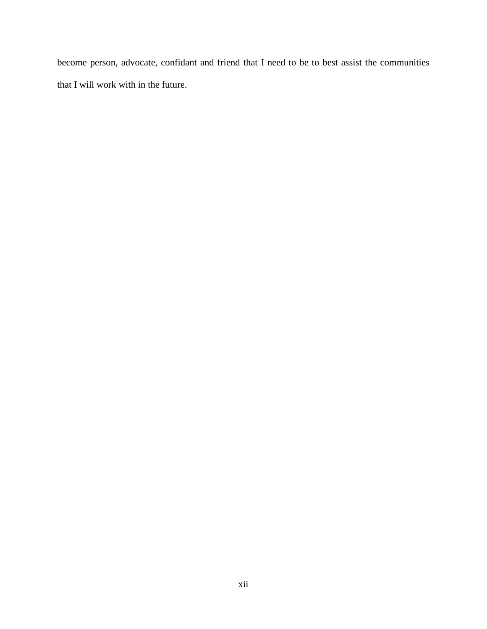become person, advocate, confidant and friend that I need to be to best assist the communities that I will work with in the future.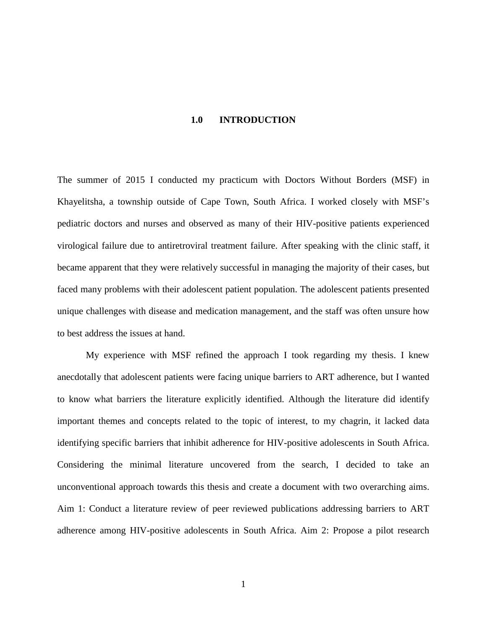### **1.0 INTRODUCTION**

<span id="page-12-0"></span>The summer of 2015 I conducted my practicum with Doctors Without Borders (MSF) in Khayelitsha, a township outside of Cape Town, South Africa. I worked closely with MSF's pediatric doctors and nurses and observed as many of their HIV-positive patients experienced virological failure due to antiretroviral treatment failure. After speaking with the clinic staff, it became apparent that they were relatively successful in managing the majority of their cases, but faced many problems with their adolescent patient population. The adolescent patients presented unique challenges with disease and medication management, and the staff was often unsure how to best address the issues at hand.

My experience with MSF refined the approach I took regarding my thesis. I knew anecdotally that adolescent patients were facing unique barriers to ART adherence, but I wanted to know what barriers the literature explicitly identified. Although the literature did identify important themes and concepts related to the topic of interest, to my chagrin, it lacked data identifying specific barriers that inhibit adherence for HIV-positive adolescents in South Africa. Considering the minimal literature uncovered from the search, I decided to take an unconventional approach towards this thesis and create a document with two overarching aims. Aim 1: Conduct a literature review of peer reviewed publications addressing barriers to ART adherence among HIV-positive adolescents in South Africa. Aim 2: Propose a pilot research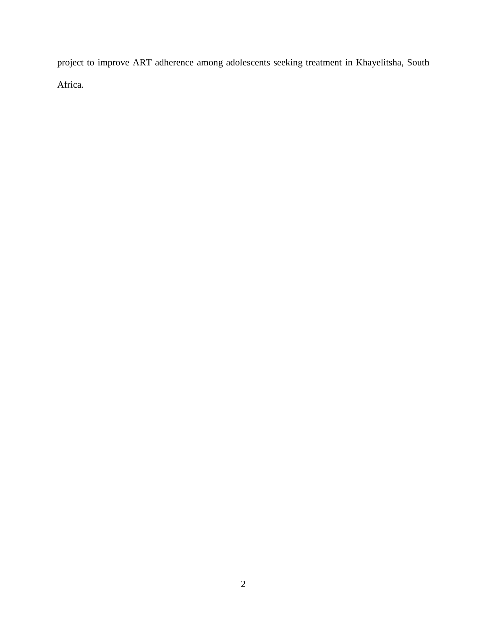project to improve ART adherence among adolescents seeking treatment in Khayelitsha, South Africa.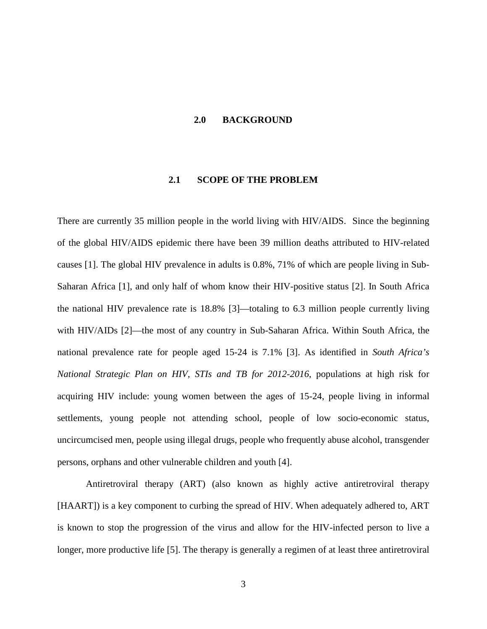### <span id="page-14-0"></span>**2.0 BACKGROUND**

## **2.1 SCOPE OF THE PROBLEM**

<span id="page-14-1"></span>There are currently 35 million people in the world living with HIV/AIDS. Since the beginning of the global HIV/AIDS epidemic there have been 39 million deaths attributed to HIV-related causes [1]. The global HIV prevalence in adults is 0.8%, 71% of which are people living in Sub-Saharan Africa [1], and only half of whom know their HIV-positive status [2]. In South Africa the national HIV prevalence rate is 18.8% [3]—totaling to 6.3 million people currently living with HIV/AIDs [2]—the most of any country in Sub-Saharan Africa. Within South Africa, the national prevalence rate for people aged 15-24 is 7.1% [3]. As identified in *South Africa's National Strategic Plan on HIV, STIs and TB for 2012-2016*, populations at high risk for acquiring HIV include: young women between the ages of 15-24, people living in informal settlements, young people not attending school, people of low socio-economic status, uncircumcised men, people using illegal drugs, people who frequently abuse alcohol, transgender persons, orphans and other vulnerable children and youth [4].

Antiretroviral therapy (ART) (also known as highly active antiretroviral therapy [HAART]) is a key component to curbing the spread of HIV. When adequately adhered to, ART is known to stop the progression of the virus and allow for the HIV-infected person to live a longer, more productive life [5]. The therapy is generally a regimen of at least three antiretroviral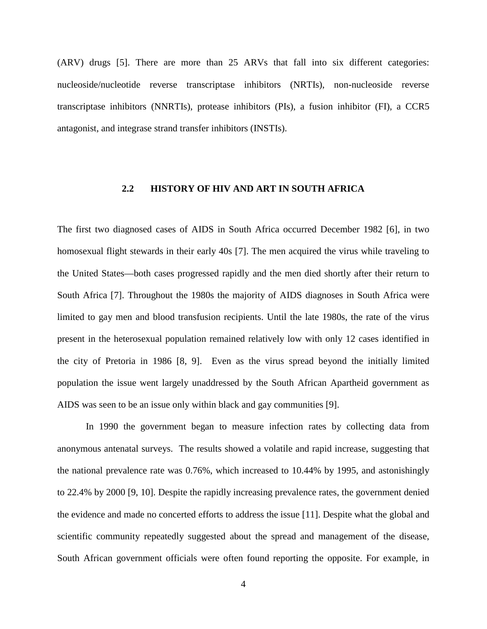(ARV) drugs [5]. There are more than 25 ARVs that fall into six different categories: nucleoside/nucleotide reverse transcriptase inhibitors (NRTIs), non-nucleoside reverse transcriptase inhibitors (NNRTIs), protease inhibitors (PIs), a fusion inhibitor (FI), a CCR5 antagonist, and integrase strand transfer inhibitors (INSTIs).

## <span id="page-15-0"></span>**2.2 HISTORY OF HIV AND ART IN SOUTH AFRICA**

The first two diagnosed cases of AIDS in South Africa occurred December 1982 [6], in two homosexual flight stewards in their early 40s [7]. The men acquired the virus while traveling to the United States—both cases progressed rapidly and the men died shortly after their return to South Africa [7]. Throughout the 1980s the majority of AIDS diagnoses in South Africa were limited to gay men and blood transfusion recipients. Until the late 1980s, the rate of the virus present in the heterosexual population remained relatively low with only 12 cases identified in the city of Pretoria in 1986 [8, 9]. Even as the virus spread beyond the initially limited population the issue went largely unaddressed by the South African Apartheid government as AIDS was seen to be an issue only within black and gay communities [9].

In 1990 the government began to measure infection rates by collecting data from anonymous antenatal surveys. The results showed a volatile and rapid increase, suggesting that the national prevalence rate was 0.76%, which increased to 10.44% by 1995, and astonishingly to 22.4% by 2000 [9, 10]. Despite the rapidly increasing prevalence rates, the government denied the evidence and made no concerted efforts to address the issue [11]. Despite what the global and scientific community repeatedly suggested about the spread and management of the disease, South African government officials were often found reporting the opposite. For example, in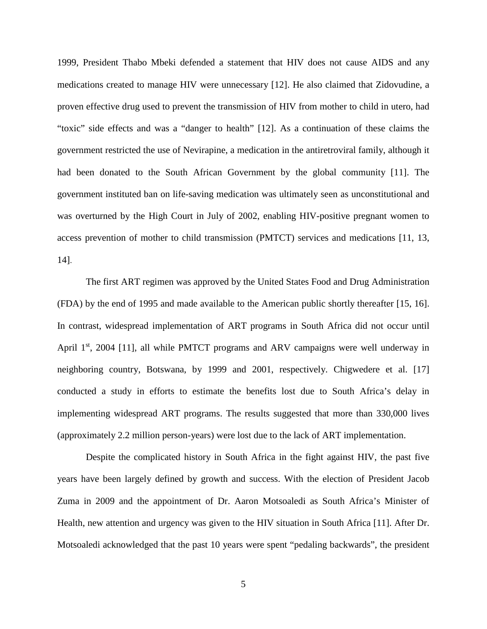1999, President Thabo Mbeki defended a statement that HIV does not cause AIDS and any medications created to manage HIV were unnecessary [12]. He also claimed that Zidovudine, a proven effective drug used to prevent the transmission of HIV from mother to child in utero, had "toxic" side effects and was a "danger to health" [12]. As a continuation of these claims the government restricted the use of Nevirapine, a medication in the antiretroviral family, although it had been donated to the South African Government by the global community [11]. The government instituted ban on life-saving medication was ultimately seen as unconstitutional and was overturned by the High Court in July of 2002, enabling HIV-positive pregnant women to access prevention of mother to child transmission (PMTCT) services and medications [11, 13, 14].

The first ART regimen was approved by the United States Food and Drug Administration (FDA) by the end of 1995 and made available to the American public shortly thereafter [15, 16]. In contrast, widespread implementation of ART programs in South Africa did not occur until April  $1<sup>st</sup>$ , 2004 [11], all while PMTCT programs and ARV campaigns were well underway in neighboring country, Botswana, by 1999 and 2001, respectively. Chigwedere et al. [17] conducted a study in efforts to estimate the benefits lost due to South Africa's delay in implementing widespread ART programs. The results suggested that more than 330,000 lives (approximately 2.2 million person-years) were lost due to the lack of ART implementation.

Despite the complicated history in South Africa in the fight against HIV, the past five years have been largely defined by growth and success. With the election of President Jacob Zuma in 2009 and the appointment of Dr. Aaron Motsoaledi as South Africa's Minister of Health, new attention and urgency was given to the HIV situation in South Africa [11]. After Dr. Motsoaledi acknowledged that the past 10 years were spent "pedaling backwards", the president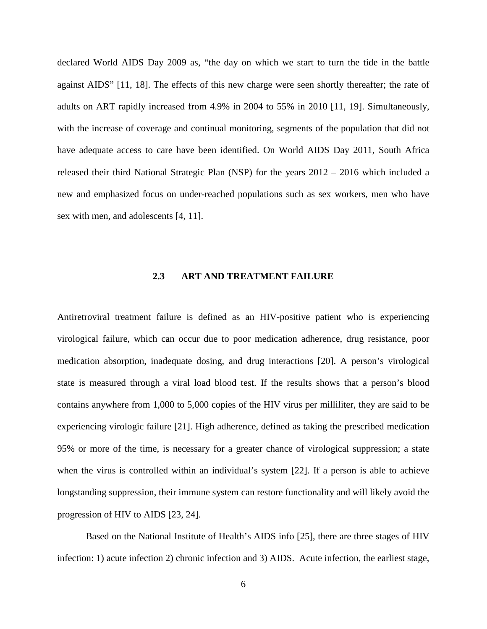declared World AIDS Day 2009 as, "the day on which we start to turn the tide in the battle against AIDS" [11, 18]. The effects of this new charge were seen shortly thereafter; the rate of adults on ART rapidly increased from 4.9% in 2004 to 55% in 2010 [11, 19]. Simultaneously, with the increase of coverage and continual monitoring, segments of the population that did not have adequate access to care have been identified. On World AIDS Day 2011, South Africa released their third National Strategic Plan (NSP) for the years 2012 – 2016 which included a new and emphasized focus on under-reached populations such as sex workers, men who have sex with men, and adolescents [4, 11].

## **2.3 ART AND TREATMENT FAILURE**

<span id="page-17-0"></span>Antiretroviral treatment failure is defined as an HIV-positive patient who is experiencing virological failure, which can occur due to poor medication adherence, drug resistance, poor medication absorption, inadequate dosing, and drug interactions [20]. A person's virological state is measured through a viral load blood test. If the results shows that a person's blood contains anywhere from 1,000 to 5,000 copies of the HIV virus per milliliter, they are said to be experiencing virologic failure [21]. High adherence, defined as taking the prescribed medication 95% or more of the time, is necessary for a greater chance of virological suppression; a state when the virus is controlled within an individual's system [22]. If a person is able to achieve longstanding suppression, their immune system can restore functionality and will likely avoid the progression of HIV to AIDS [23, 24].

Based on the National Institute of Health's AIDS info [25], there are three stages of HIV infection: 1) acute infection 2) chronic infection and 3) AIDS. Acute infection, the earliest stage,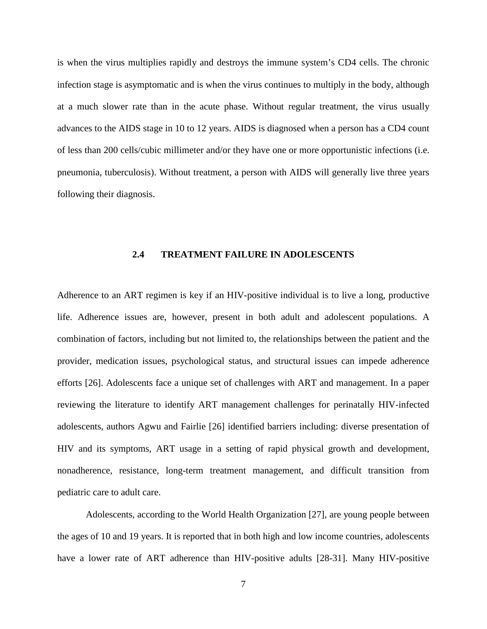is when the virus multiplies rapidly and destroys the immune system's CD4 cells. The chronic infection stage is asymptomatic and is when the virus continues to multiply in the body, although at a much slower rate than in the acute phase. Without regular treatment, the virus usually advances to the AIDS stage in 10 to 12 years. AIDS is diagnosed when a person has a CD4 count of less than 200 cells/cubic millimeter and/or they have one or more opportunistic infections (i.e. pneumonia, tuberculosis). Without treatment, a person with AIDS will generally live three years following their diagnosis.

#### **2.4 TREATMENT FAILURE IN ADOLESCENTS**

<span id="page-18-0"></span>Adherence to an ART regimen is key if an HIV-positive individual is to live a long, productive life. Adherence issues are, however, present in both adult and adolescent populations. A combination of factors, including but not limited to, the relationships between the patient and the provider, medication issues, psychological status, and structural issues can impede adherence efforts [26]. Adolescents face a unique set of challenges with ART and management. In a paper reviewing the literature to identify ART management challenges for perinatally HIV-infected adolescents, authors Agwu and Fairlie [26] identified barriers including: diverse presentation of HIV and its symptoms, ART usage in a setting of rapid physical growth and development, nonadherence, resistance, long-term treatment management, and difficult transition from pediatric care to adult care.

Adolescents, according to the World Health Organization [27], are young people between the ages of 10 and 19 years. It is reported that in both high and low income countries, adolescents have a lower rate of ART adherence than HIV-positive adults [28-31]. Many HIV-positive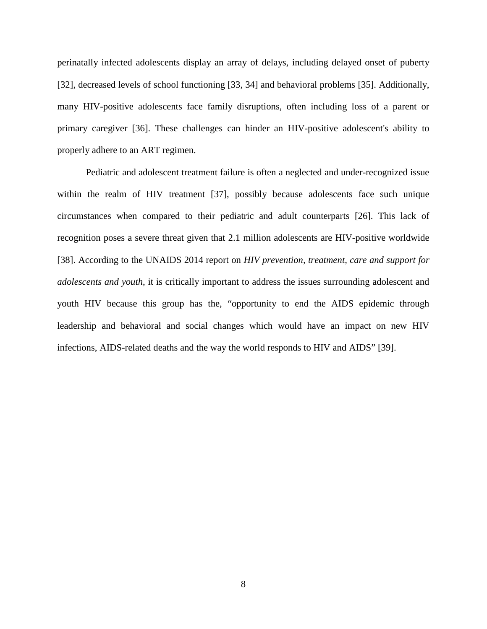perinatally infected adolescents display an array of delays, including delayed onset of puberty [32], decreased levels of school functioning [33, 34] and behavioral problems [35]. Additionally, many HIV-positive adolescents face family disruptions, often including loss of a parent or primary caregiver [36]. These challenges can hinder an HIV-positive adolescent's ability to properly adhere to an ART regimen.

Pediatric and adolescent treatment failure is often a neglected and under-recognized issue within the realm of HIV treatment [37], possibly because adolescents face such unique circumstances when compared to their pediatric and adult counterparts [26]. This lack of recognition poses a severe threat given that 2.1 million adolescents are HIV-positive worldwide [38]. According to the UNAIDS 2014 report on *HIV prevention, treatment, care and support for adolescents and youth*, it is critically important to address the issues surrounding adolescent and youth HIV because this group has the, "opportunity to end the AIDS epidemic through leadership and behavioral and social changes which would have an impact on new HIV infections, AIDS-related deaths and the way the world responds to HIV and AIDS" [39].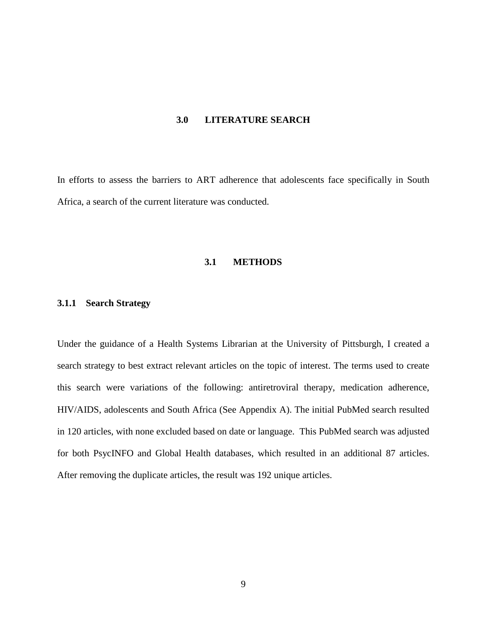#### **3.0 LITERATURE SEARCH**

<span id="page-20-1"></span><span id="page-20-0"></span>In efforts to assess the barriers to ART adherence that adolescents face specifically in South Africa, a search of the current literature was conducted.

## **3.1 METHODS**

## <span id="page-20-2"></span>**3.1.1 Search Strategy**

Under the guidance of a Health Systems Librarian at the University of Pittsburgh, I created a search strategy to best extract relevant articles on the topic of interest. The terms used to create this search were variations of the following: antiretroviral therapy, medication adherence, HIV/AIDS, adolescents and South Africa (See Appendix A). The initial PubMed search resulted in 120 articles, with none excluded based on date or language. This PubMed search was adjusted for both PsycINFO and Global Health databases, which resulted in an additional 87 articles. After removing the duplicate articles, the result was 192 unique articles.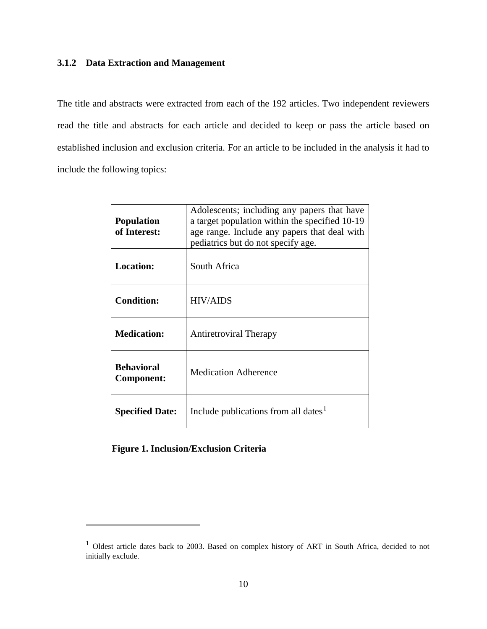## <span id="page-21-1"></span><span id="page-21-0"></span>**3.1.2 Data Extraction and Management**

The title and abstracts were extracted from each of the 192 articles. Two independent reviewers read the title and abstracts for each article and decided to keep or pass the article based on established inclusion and exclusion criteria. For an article to be included in the analysis it had to include the following topics:

| <b>Population</b><br>of Interest: | Adolescents; including any papers that have<br>a target population within the specified 10-19<br>age range. Include any papers that deal with<br>pediatrics but do not specify age. |
|-----------------------------------|-------------------------------------------------------------------------------------------------------------------------------------------------------------------------------------|
| <b>Location:</b>                  | South Africa                                                                                                                                                                        |
| <b>Condition:</b>                 | <b>HIV/AIDS</b>                                                                                                                                                                     |
| <b>Medication:</b>                | <b>Antiretroviral Therapy</b>                                                                                                                                                       |
| <b>Behavioral</b><br>Component:   | <b>Medication Adherence</b>                                                                                                                                                         |
| <b>Specified Date:</b>            | Include publications from all dates <sup>1</sup>                                                                                                                                    |

**Figure 1. Inclusion/Exclusion Criteria**

<span id="page-21-2"></span><sup>&</sup>lt;sup>1</sup> Oldest article dates back to 2003. Based on complex history of ART in South Africa, decided to not initially exclude.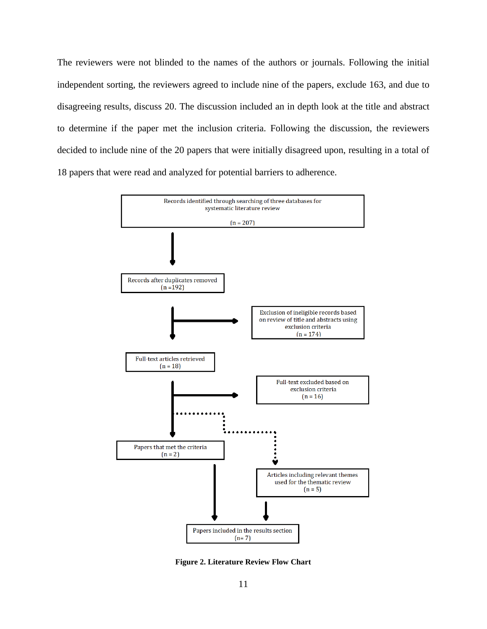<span id="page-22-0"></span>The reviewers were not blinded to the names of the authors or journals. Following the initial independent sorting, the reviewers agreed to include nine of the papers, exclude 163, and due to disagreeing results, discuss 20. The discussion included an in depth look at the title and abstract to determine if the paper met the inclusion criteria. Following the discussion, the reviewers decided to include nine of the 20 papers that were initially disagreed upon, resulting in a total of 18 papers that were read and analyzed for potential barriers to adherence.



**Figure 2. Literature Review Flow Chart**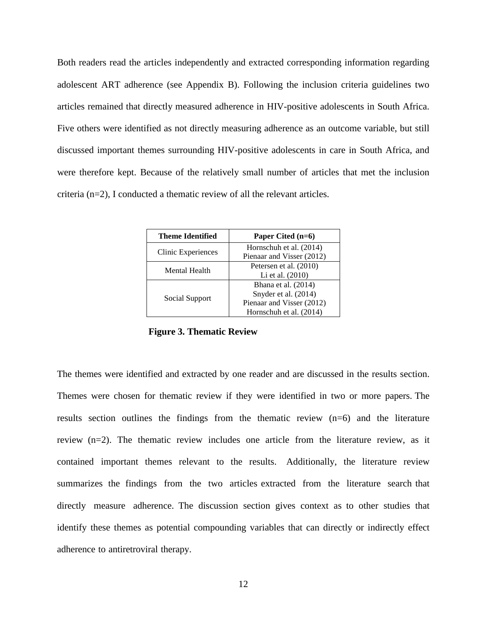<span id="page-23-0"></span>Both readers read the articles independently and extracted corresponding information regarding adolescent ART adherence (see Appendix B). Following the inclusion criteria guidelines two articles remained that directly measured adherence in HIV-positive adolescents in South Africa. Five others were identified as not directly measuring adherence as an outcome variable, but still discussed important themes surrounding HIV-positive adolescents in care in South Africa, and were therefore kept. Because of the relatively small number of articles that met the inclusion criteria (n=2), I conducted a thematic review of all the relevant articles.

| <b>Theme Identified</b> | Paper Cited $(n=6)$       |
|-------------------------|---------------------------|
| Clinic Experiences      | Hornschuh et al. (2014)   |
|                         | Pienaar and Visser (2012) |
| Mental Health           | Petersen et al. (2010)    |
|                         | Li et al. (2010)          |
|                         | Bhana et al. (2014)       |
|                         | Snyder et al. (2014)      |
| Social Support          | Pienaar and Visser (2012) |
|                         | Hornschuh et al. (2014)   |

**Figure 3. Thematic Review** 

The themes were identified and extracted by one reader and are discussed in the results section. Themes were chosen for thematic review if they were identified in two or more papers. The results section outlines the findings from the thematic review (n=6) and the literature review (n=2). The thematic review includes one article from the literature review, as it contained important themes relevant to the results. Additionally, the literature review summarizes the findings from the two articles extracted from the literature search that directly measure adherence. The discussion section gives context as to other studies that identify these themes as potential compounding variables that can directly or indirectly effect adherence to antiretroviral therapy.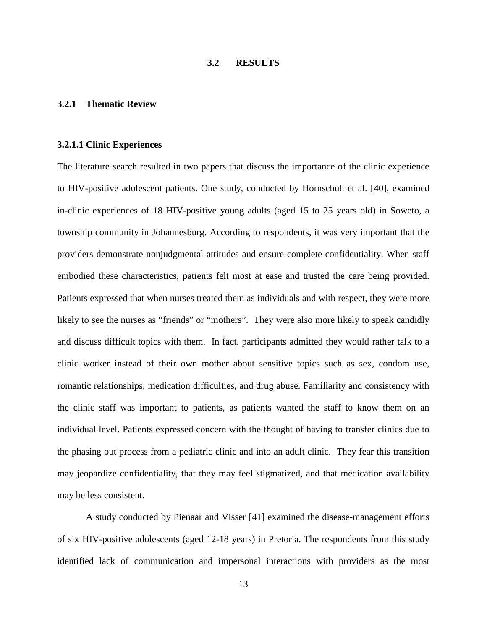## **3.2 RESULTS**

#### <span id="page-24-1"></span><span id="page-24-0"></span>**3.2.1 Thematic Review**

#### <span id="page-24-2"></span>**3.2.1.1 Clinic Experiences**

The literature search resulted in two papers that discuss the importance of the clinic experience to HIV-positive adolescent patients. One study, conducted by Hornschuh et al. [40], examined in-clinic experiences of 18 HIV-positive young adults (aged 15 to 25 years old) in Soweto, a township community in Johannesburg. According to respondents, it was very important that the providers demonstrate nonjudgmental attitudes and ensure complete confidentiality. When staff embodied these characteristics, patients felt most at ease and trusted the care being provided. Patients expressed that when nurses treated them as individuals and with respect, they were more likely to see the nurses as "friends" or "mothers". They were also more likely to speak candidly and discuss difficult topics with them. In fact, participants admitted they would rather talk to a clinic worker instead of their own mother about sensitive topics such as sex, condom use, romantic relationships, medication difficulties, and drug abuse. Familiarity and consistency with the clinic staff was important to patients, as patients wanted the staff to know them on an individual level. Patients expressed concern with the thought of having to transfer clinics due to the phasing out process from a pediatric clinic and into an adult clinic. They fear this transition may jeopardize confidentiality, that they may feel stigmatized, and that medication availability may be less consistent.

A study conducted by Pienaar and Visser [41] examined the disease-management efforts of six HIV-positive adolescents (aged 12-18 years) in Pretoria. The respondents from this study identified lack of communication and impersonal interactions with providers as the most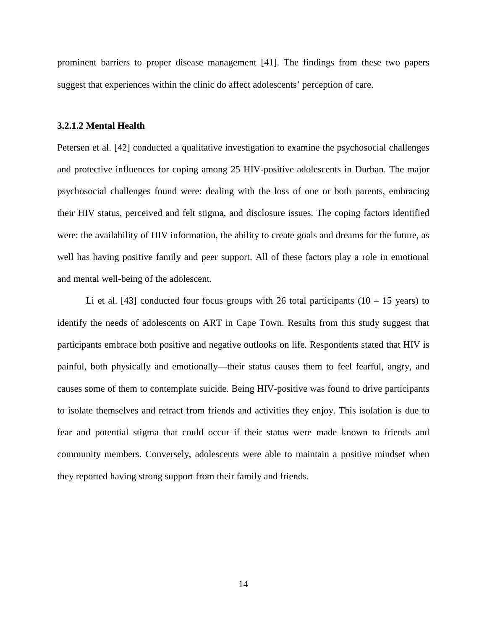prominent barriers to proper disease management [41]. The findings from these two papers suggest that experiences within the clinic do affect adolescents' perception of care.

#### <span id="page-25-0"></span>**3.2.1.2 Mental Health**

Petersen et al. [42] conducted a qualitative investigation to examine the psychosocial challenges and protective influences for coping among 25 HIV-positive adolescents in Durban. The major psychosocial challenges found were: dealing with the loss of one or both parents, embracing their HIV status, perceived and felt stigma, and disclosure issues. The coping factors identified were: the availability of HIV information, the ability to create goals and dreams for the future, as well has having positive family and peer support. All of these factors play a role in emotional and mental well-being of the adolescent.

Li et al. [43] conducted four focus groups with 26 total participants  $(10 - 15$  years) to identify the needs of adolescents on ART in Cape Town. Results from this study suggest that participants embrace both positive and negative outlooks on life. Respondents stated that HIV is painful, both physically and emotionally—their status causes them to feel fearful, angry, and causes some of them to contemplate suicide. Being HIV-positive was found to drive participants to isolate themselves and retract from friends and activities they enjoy. This isolation is due to fear and potential stigma that could occur if their status were made known to friends and community members. Conversely, adolescents were able to maintain a positive mindset when they reported having strong support from their family and friends.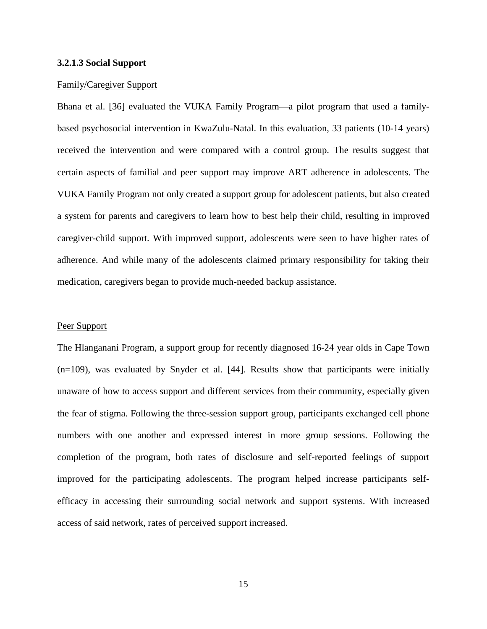#### <span id="page-26-0"></span>**3.2.1.3 Social Support**

#### Family/Caregiver Support

Bhana et al. [36] evaluated the VUKA Family Program—a pilot program that used a familybased psychosocial intervention in KwaZulu-Natal. In this evaluation, 33 patients (10-14 years) received the intervention and were compared with a control group. The results suggest that certain aspects of familial and peer support may improve ART adherence in adolescents. The VUKA Family Program not only created a support group for adolescent patients, but also created a system for parents and caregivers to learn how to best help their child, resulting in improved caregiver-child support. With improved support, adolescents were seen to have higher rates of adherence. And while many of the adolescents claimed primary responsibility for taking their medication, caregivers began to provide much-needed backup assistance.

#### Peer Support

The Hlanganani Program, a support group for recently diagnosed 16-24 year olds in Cape Town (n=109), was evaluated by Snyder et al. [44]. Results show that participants were initially unaware of how to access support and different services from their community, especially given the fear of stigma. Following the three-session support group, participants exchanged cell phone numbers with one another and expressed interest in more group sessions. Following the completion of the program, both rates of disclosure and self-reported feelings of support improved for the participating adolescents. The program helped increase participants selfefficacy in accessing their surrounding social network and support systems. With increased access of said network, rates of perceived support increased.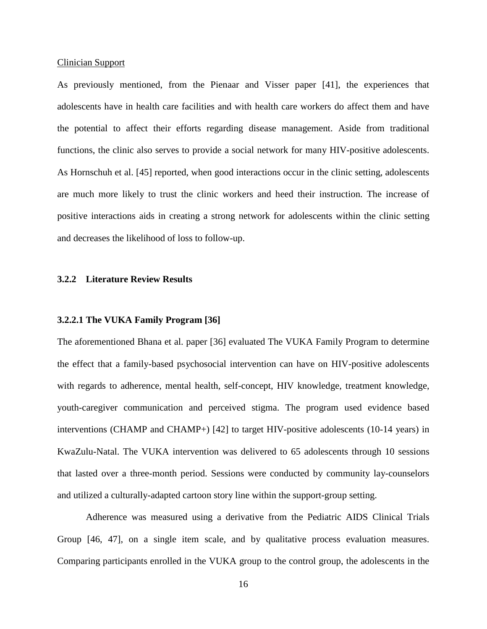#### Clinician Support

As previously mentioned, from the Pienaar and Visser paper [41], the experiences that adolescents have in health care facilities and with health care workers do affect them and have the potential to affect their efforts regarding disease management. Aside from traditional functions, the clinic also serves to provide a social network for many HIV-positive adolescents. As Hornschuh et al. [45] reported, when good interactions occur in the clinic setting, adolescents are much more likely to trust the clinic workers and heed their instruction. The increase of positive interactions aids in creating a strong network for adolescents within the clinic setting and decreases the likelihood of loss to follow-up.

## <span id="page-27-0"></span>**3.2.2 Literature Review Results**

### <span id="page-27-1"></span>**3.2.2.1 The VUKA Family Program [36]**

The aforementioned Bhana et al. paper [36] evaluated The VUKA Family Program to determine the effect that a family-based psychosocial intervention can have on HIV-positive adolescents with regards to adherence, mental health, self-concept, HIV knowledge, treatment knowledge, youth-caregiver communication and perceived stigma. The program used evidence based interventions (CHAMP and CHAMP+) [42] to target HIV-positive adolescents (10-14 years) in KwaZulu-Natal. The VUKA intervention was delivered to 65 adolescents through 10 sessions that lasted over a three-month period. Sessions were conducted by community lay-counselors and utilized a culturally-adapted cartoon story line within the support-group setting.

Adherence was measured using a derivative from the Pediatric AIDS Clinical Trials Group [46, 47], on a single item scale, and by qualitative process evaluation measures. Comparing participants enrolled in the VUKA group to the control group, the adolescents in the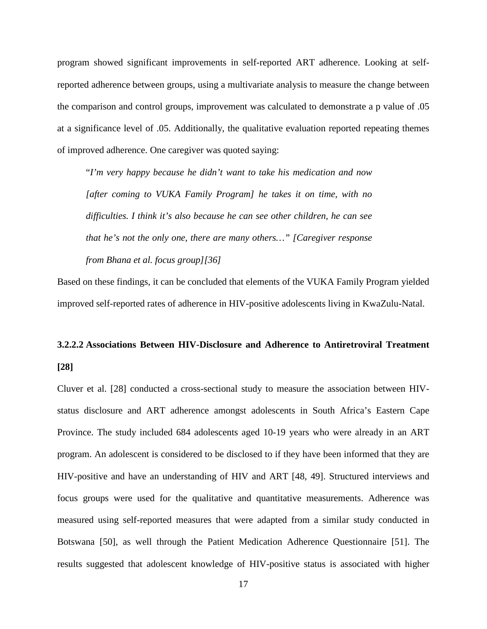program showed significant improvements in self-reported ART adherence. Looking at selfreported adherence between groups, using a multivariate analysis to measure the change between the comparison and control groups, improvement was calculated to demonstrate a p value of .05 at a significance level of .05. Additionally, the qualitative evaluation reported repeating themes of improved adherence. One caregiver was quoted saying:

"*I'm very happy because he didn't want to take his medication and now [after coming to VUKA Family Program] he takes it on time, with no difficulties. I think it's also because he can see other children, he can see that he's not the only one, there are many others…" [Caregiver response from Bhana et al. focus group][36]*

Based on these findings, it can be concluded that elements of the VUKA Family Program yielded improved self-reported rates of adherence in HIV-positive adolescents living in KwaZulu-Natal.

# <span id="page-28-0"></span>**3.2.2.2 Associations Between HIV-Disclosure and Adherence to Antiretroviral Treatment [28]**

Cluver et al. [28] conducted a cross-sectional study to measure the association between HIVstatus disclosure and ART adherence amongst adolescents in South Africa's Eastern Cape Province. The study included 684 adolescents aged 10-19 years who were already in an ART program. An adolescent is considered to be disclosed to if they have been informed that they are HIV-positive and have an understanding of HIV and ART [48, 49]. Structured interviews and focus groups were used for the qualitative and quantitative measurements. Adherence was measured using self-reported measures that were adapted from a similar study conducted in Botswana [50], as well through the Patient Medication Adherence Questionnaire [51]. The results suggested that adolescent knowledge of HIV-positive status is associated with higher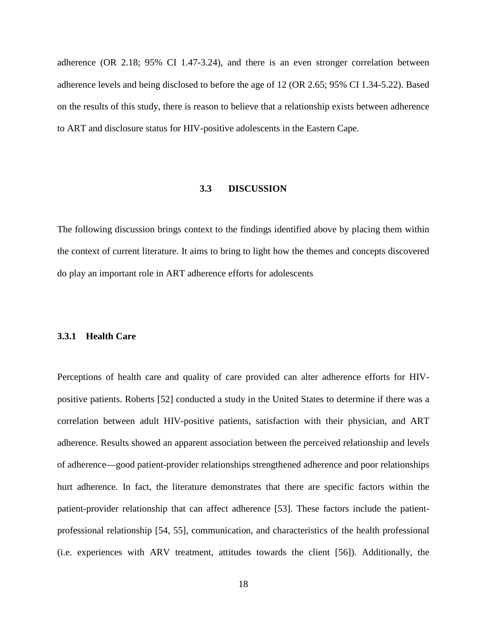adherence (OR 2.18; 95% CI 1.47-3.24), and there is an even stronger correlation between adherence levels and being disclosed to before the age of 12 (OR 2.65; 95% CI 1.34-5.22). Based on the results of this study, there is reason to believe that a relationship exists between adherence to ART and disclosure status for HIV-positive adolescents in the Eastern Cape.

## **3.3 DISCUSSION**

<span id="page-29-0"></span>The following discussion brings context to the findings identified above by placing them within the context of current literature. It aims to bring to light how the themes and concepts discovered do play an important role in ART adherence efforts for adolescents

## <span id="page-29-1"></span>**3.3.1 Health Care**

Perceptions of health care and quality of care provided can alter adherence efforts for HIVpositive patients. Roberts [52] conducted a study in the United States to determine if there was a correlation between adult HIV-positive patients, satisfaction with their physician, and ART adherence. Results showed an apparent association between the perceived relationship and levels of adherence—good patient-provider relationships strengthened adherence and poor relationships hurt adherence. In fact, the literature demonstrates that there are specific factors within the patient-provider relationship that can affect adherence [53]. These factors include the patientprofessional relationship [54, 55], communication, and characteristics of the health professional (i.e. experiences with ARV treatment, attitudes towards the client [56]). Additionally, the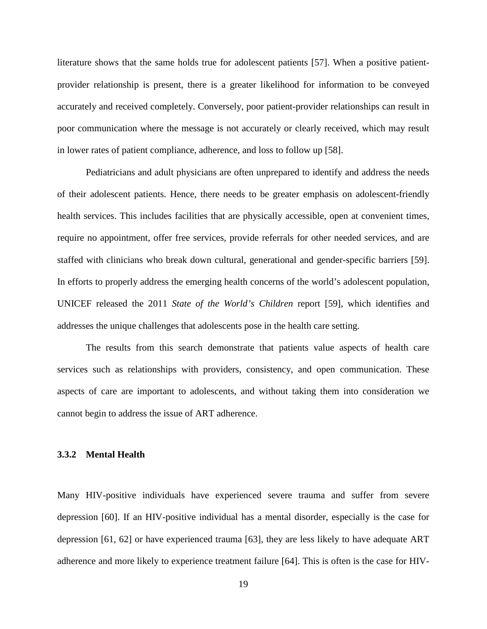literature shows that the same holds true for adolescent patients [57]. When a positive patientprovider relationship is present, there is a greater likelihood for information to be conveyed accurately and received completely. Conversely, poor patient-provider relationships can result in poor communication where the message is not accurately or clearly received, which may result in lower rates of patient compliance, adherence, and loss to follow up [58].

Pediatricians and adult physicians are often unprepared to identify and address the needs of their adolescent patients. Hence, there needs to be greater emphasis on adolescent-friendly health services. This includes facilities that are physically accessible, open at convenient times, require no appointment, offer free services, provide referrals for other needed services, and are staffed with clinicians who break down cultural, generational and gender-specific barriers [59]. In efforts to properly address the emerging health concerns of the world's adolescent population, UNICEF released the 2011 *State of the World's Children* report [59], which identifies and addresses the unique challenges that adolescents pose in the health care setting.

The results from this search demonstrate that patients value aspects of health care services such as relationships with providers, consistency, and open communication. These aspects of care are important to adolescents, and without taking them into consideration we cannot begin to address the issue of ART adherence.

## <span id="page-30-0"></span>**3.3.2 Mental Health**

Many HIV-positive individuals have experienced severe trauma and suffer from severe depression [60]. If an HIV-positive individual has a mental disorder, especially is the case for depression [61, 62] or have experienced trauma [63], they are less likely to have adequate ART adherence and more likely to experience treatment failure [64]. This is often is the case for HIV-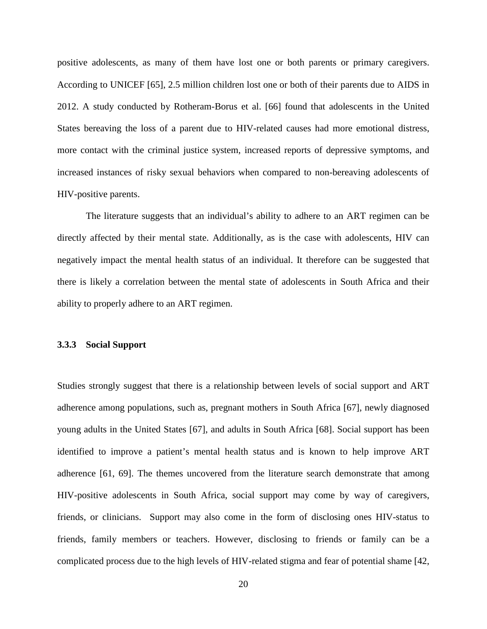positive adolescents, as many of them have lost one or both parents or primary caregivers. According to UNICEF [65], 2.5 million children lost one or both of their parents due to AIDS in 2012. A study conducted by Rotheram-Borus et al. [66] found that adolescents in the United States bereaving the loss of a parent due to HIV-related causes had more emotional distress, more contact with the criminal justice system, increased reports of depressive symptoms, and increased instances of risky sexual behaviors when compared to non-bereaving adolescents of HIV-positive parents.

The literature suggests that an individual's ability to adhere to an ART regimen can be directly affected by their mental state. Additionally, as is the case with adolescents, HIV can negatively impact the mental health status of an individual. It therefore can be suggested that there is likely a correlation between the mental state of adolescents in South Africa and their ability to properly adhere to an ART regimen.

#### <span id="page-31-0"></span>**3.3.3 Social Support**

Studies strongly suggest that there is a relationship between levels of social support and ART adherence among populations, such as, pregnant mothers in South Africa [67], newly diagnosed young adults in the United States [67], and adults in South Africa [68]. Social support has been identified to improve a patient's mental health status and is known to help improve ART adherence [61, 69]. The themes uncovered from the literature search demonstrate that among HIV-positive adolescents in South Africa, social support may come by way of caregivers, friends, or clinicians. Support may also come in the form of disclosing ones HIV-status to friends, family members or teachers. However, disclosing to friends or family can be a complicated process due to the high levels of HIV-related stigma and fear of potential shame [42,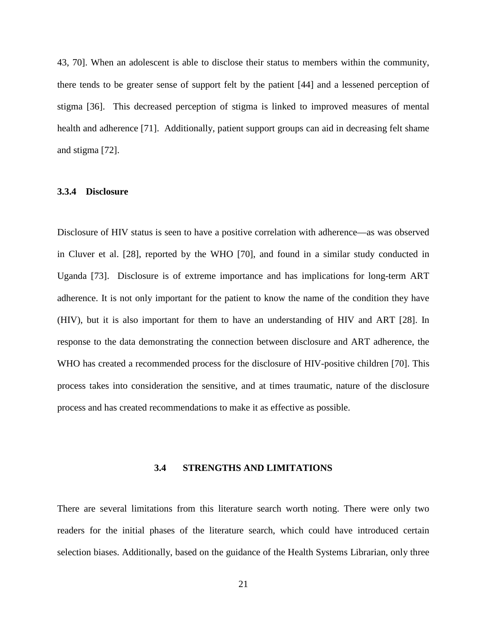43, 70]. When an adolescent is able to disclose their status to members within the community, there tends to be greater sense of support felt by the patient [44] and a lessened perception of stigma [36]. This decreased perception of stigma is linked to improved measures of mental health and adherence [71]. Additionally, patient support groups can aid in decreasing felt shame and stigma [72].

### <span id="page-32-0"></span>**3.3.4 Disclosure**

Disclosure of HIV status is seen to have a positive correlation with adherence—as was observed in Cluver et al. [28], reported by the WHO [70], and found in a similar study conducted in Uganda [73]. Disclosure is of extreme importance and has implications for long-term ART adherence. It is not only important for the patient to know the name of the condition they have (HIV), but it is also important for them to have an understanding of HIV and ART [28]. In response to the data demonstrating the connection between disclosure and ART adherence, the WHO has created a recommended process for the disclosure of HIV-positive children [70]. This process takes into consideration the sensitive, and at times traumatic, nature of the disclosure process and has created recommendations to make it as effective as possible.

#### **3.4 STRENGTHS AND LIMITATIONS**

<span id="page-32-1"></span>There are several limitations from this literature search worth noting. There were only two readers for the initial phases of the literature search, which could have introduced certain selection biases. Additionally, based on the guidance of the Health Systems Librarian, only three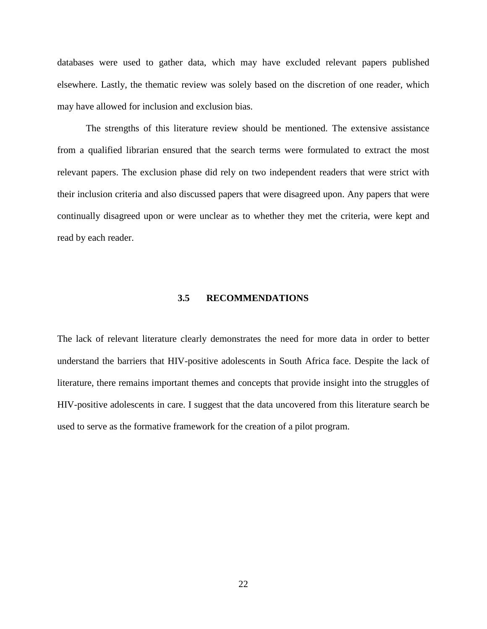databases were used to gather data, which may have excluded relevant papers published elsewhere. Lastly, the thematic review was solely based on the discretion of one reader, which may have allowed for inclusion and exclusion bias.

The strengths of this literature review should be mentioned. The extensive assistance from a qualified librarian ensured that the search terms were formulated to extract the most relevant papers. The exclusion phase did rely on two independent readers that were strict with their inclusion criteria and also discussed papers that were disagreed upon. Any papers that were continually disagreed upon or were unclear as to whether they met the criteria, were kept and read by each reader.

#### **3.5 RECOMMENDATIONS**

<span id="page-33-0"></span>The lack of relevant literature clearly demonstrates the need for more data in order to better understand the barriers that HIV-positive adolescents in South Africa face. Despite the lack of literature, there remains important themes and concepts that provide insight into the struggles of HIV-positive adolescents in care. I suggest that the data uncovered from this literature search be used to serve as the formative framework for the creation of a pilot program.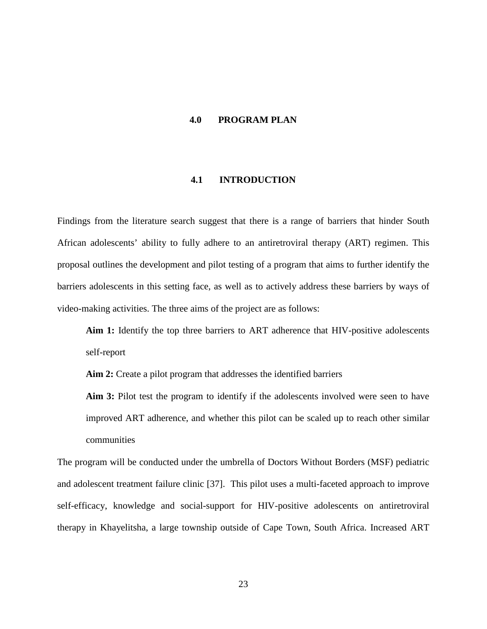## <span id="page-34-0"></span>**4.0 PROGRAM PLAN**

## **4.1 INTRODUCTION**

<span id="page-34-1"></span>Findings from the literature search suggest that there is a range of barriers that hinder South African adolescents' ability to fully adhere to an antiretroviral therapy (ART) regimen. This proposal outlines the development and pilot testing of a program that aims to further identify the barriers adolescents in this setting face, as well as to actively address these barriers by ways of video-making activities. The three aims of the project are as follows:

**Aim 1:** Identify the top three barriers to ART adherence that HIV-positive adolescents self-report

**Aim 2:** Create a pilot program that addresses the identified barriers

**Aim 3:** Pilot test the program to identify if the adolescents involved were seen to have improved ART adherence, and whether this pilot can be scaled up to reach other similar communities

The program will be conducted under the umbrella of Doctors Without Borders (MSF) pediatric and adolescent treatment failure clinic [37]. This pilot uses a multi-faceted approach to improve self-efficacy, knowledge and social-support for HIV-positive adolescents on antiretroviral therapy in Khayelitsha, a large township outside of Cape Town, South Africa. Increased ART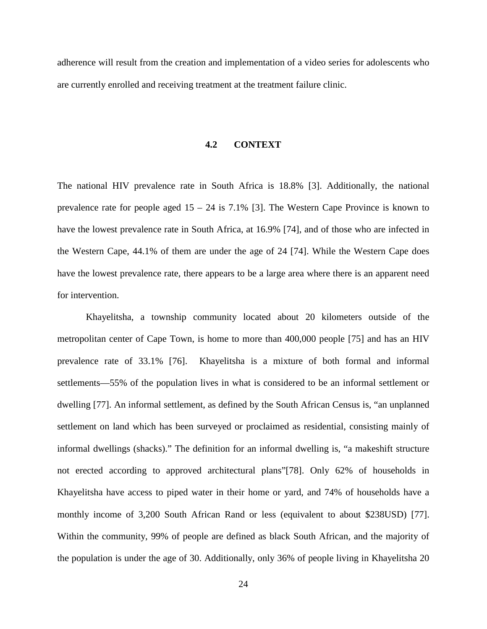<span id="page-35-0"></span>adherence will result from the creation and implementation of a video series for adolescents who are currently enrolled and receiving treatment at the treatment failure clinic.

### **4.2 CONTEXT**

The national HIV prevalence rate in South Africa is 18.8% [3]. Additionally, the national prevalence rate for people aged 15 – 24 is 7.1% [3]. The Western Cape Province is known to have the lowest prevalence rate in South Africa, at 16.9% [74], and of those who are infected in the Western Cape, 44.1% of them are under the age of 24 [74]. While the Western Cape does have the lowest prevalence rate, there appears to be a large area where there is an apparent need for intervention.

Khayelitsha, a township community located about 20 kilometers outside of the metropolitan center of Cape Town, is home to more than 400,000 people [75] and has an HIV prevalence rate of 33.1% [76]. Khayelitsha is a mixture of both formal and informal settlements—55% of the population lives in what is considered to be an informal settlement or dwelling [77]. An informal settlement, as defined by the South African Census is, "an unplanned settlement on land which has been surveyed or proclaimed as residential, consisting mainly of informal dwellings (shacks)." The definition for an informal dwelling is, "a makeshift structure not erected according to approved architectural plans"[78]. Only 62% of households in Khayelitsha have access to piped water in their home or yard, and 74% of households have a monthly income of 3,200 South African Rand or less (equivalent to about \$238USD) [77]. Within the community, 99% of people are defined as black South African, and the majority of the population is under the age of 30. Additionally, only 36% of people living in Khayelitsha 20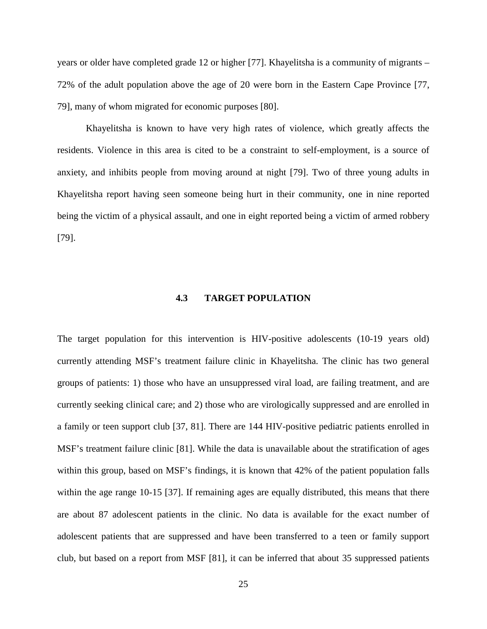years or older have completed grade 12 or higher [77]. Khayelitsha is a community of migrants – 72% of the adult population above the age of 20 were born in the Eastern Cape Province [77, 79], many of whom migrated for economic purposes [80].

Khayelitsha is known to have very high rates of violence, which greatly affects the residents. Violence in this area is cited to be a constraint to self-employment, is a source of anxiety, and inhibits people from moving around at night [79]. Two of three young adults in Khayelitsha report having seen someone being hurt in their community, one in nine reported being the victim of a physical assault, and one in eight reported being a victim of armed robbery [79].

## **4.3 TARGET POPULATION**

<span id="page-36-0"></span>The target population for this intervention is HIV-positive adolescents (10-19 years old) currently attending MSF's treatment failure clinic in Khayelitsha. The clinic has two general groups of patients: 1) those who have an unsuppressed viral load, are failing treatment, and are currently seeking clinical care; and 2) those who are virologically suppressed and are enrolled in a family or teen support club [37, 81]. There are 144 HIV-positive pediatric patients enrolled in MSF's treatment failure clinic [81]. While the data is unavailable about the stratification of ages within this group, based on MSF's findings, it is known that 42% of the patient population falls within the age range 10-15 [37]. If remaining ages are equally distributed, this means that there are about 87 adolescent patients in the clinic. No data is available for the exact number of adolescent patients that are suppressed and have been transferred to a teen or family support club, but based on a report from MSF [81], it can be inferred that about 35 suppressed patients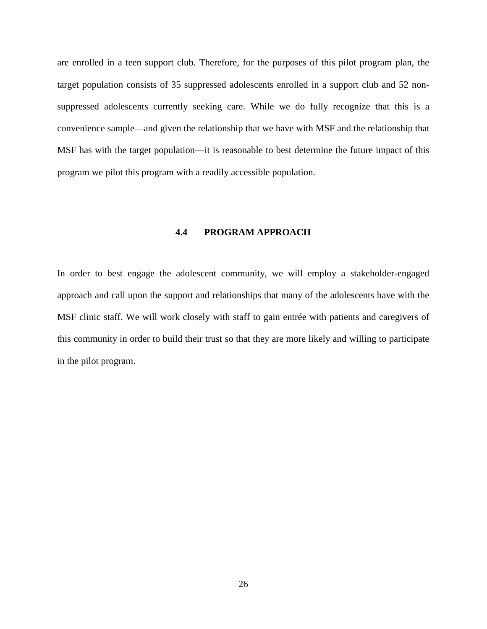are enrolled in a teen support club. Therefore, for the purposes of this pilot program plan, the target population consists of 35 suppressed adolescents enrolled in a support club and 52 nonsuppressed adolescents currently seeking care. While we do fully recognize that this is a convenience sample—and given the relationship that we have with MSF and the relationship that MSF has with the target population—it is reasonable to best determine the future impact of this program we pilot this program with a readily accessible population.

## **4.4 PROGRAM APPROACH**

<span id="page-37-0"></span>In order to best engage the adolescent community, we will employ a stakeholder-engaged approach and call upon the support and relationships that many of the adolescents have with the MSF clinic staff. We will work closely with staff to gain entrée with patients and caregivers of this community in order to build their trust so that they are more likely and willing to participate in the pilot program.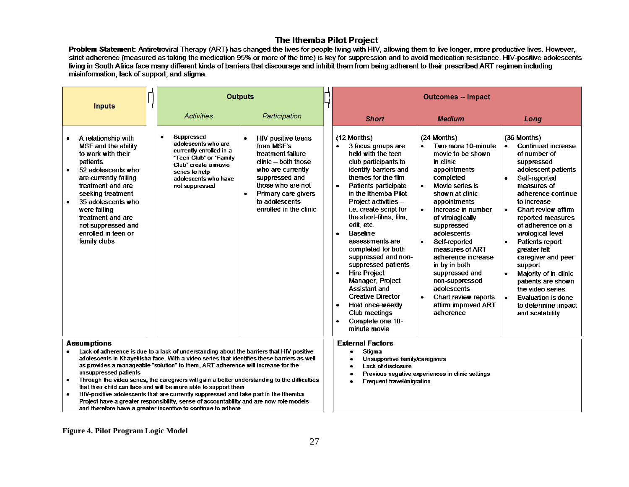### The Ithemba Pilot Project

Problem Statement Antiretroviral Therapy (ART) has changed the lives for people living with HIV, allowing them to live longer, more productive lives. However, strict adherence (measured as taking the medication 95% or more of the time) is key for suppression and to avoid medication resistance. HIV-positive adolescents living in South Africa face many different kinds of barriers that discourage and inhibit them from being adherent to their prescribed ART regimen including misinformation, lack of support, and stigma.

<span id="page-38-0"></span>

| <b>Inputs</b>                                                                                                                                                                                                                                                                                              | <b>Outputs</b>                                                                                                                                                                                                                                                                                                                                                                                                                             |                                                                                                                                                                                                                        | <b>Outcomes -- Impact</b>                                                                                                                                                                                                                                                                                                                                                                                                                                                                                                                                                                          |                                                                                                                                                                                                                                                                                                                                                                                                                         |                                                                                                                                                                                                                                                                                                                                                                                                                                                                                                 |
|------------------------------------------------------------------------------------------------------------------------------------------------------------------------------------------------------------------------------------------------------------------------------------------------------------|--------------------------------------------------------------------------------------------------------------------------------------------------------------------------------------------------------------------------------------------------------------------------------------------------------------------------------------------------------------------------------------------------------------------------------------------|------------------------------------------------------------------------------------------------------------------------------------------------------------------------------------------------------------------------|----------------------------------------------------------------------------------------------------------------------------------------------------------------------------------------------------------------------------------------------------------------------------------------------------------------------------------------------------------------------------------------------------------------------------------------------------------------------------------------------------------------------------------------------------------------------------------------------------|-------------------------------------------------------------------------------------------------------------------------------------------------------------------------------------------------------------------------------------------------------------------------------------------------------------------------------------------------------------------------------------------------------------------------|-------------------------------------------------------------------------------------------------------------------------------------------------------------------------------------------------------------------------------------------------------------------------------------------------------------------------------------------------------------------------------------------------------------------------------------------------------------------------------------------------|
|                                                                                                                                                                                                                                                                                                            | <b>Activities</b>                                                                                                                                                                                                                                                                                                                                                                                                                          | Participation                                                                                                                                                                                                          | <b>Short</b>                                                                                                                                                                                                                                                                                                                                                                                                                                                                                                                                                                                       | <b>Medium</b>                                                                                                                                                                                                                                                                                                                                                                                                           | Lona                                                                                                                                                                                                                                                                                                                                                                                                                                                                                            |
| A relationship with<br>MSF and the ability<br>to work with their<br>patients<br>52 adolescents who<br>$\bullet$<br>are currently failing<br>treatment and are<br>seeking treatment<br>35 adolescents who<br>were failing<br>treatment and are<br>not suppressed and<br>enrolled in teen or<br>family clubs | Suppressed<br>$\bullet$<br>adolescents who are<br>currently enrolled in a<br>"Teen Club" or "Family<br>Club" create a movie<br>series to help<br>adolescents who have<br>not suppressed                                                                                                                                                                                                                                                    | <b>HIV positive teens</b><br>from MSF's<br>treatment failure<br>dinic - both those<br>who are currently<br>suppressed and<br>those who are not<br>Primary care givers<br>٠<br>to adolescents<br>enrolled in the clinic | (12 Months)<br>3 focus groups are<br>held with the teen<br>club participants to<br>identify barriers and<br>themes for the film<br>Patients participate<br>in the Ithemba Pilot<br>Project activities -<br>i.e. create script for<br>the short-films, film,<br>edit, etc.<br><b>Baseline</b><br>$\bullet$<br>assessments are<br>completed for both<br>suppressed and non-<br>suppressed patients<br><b>Hire Project</b><br>Manager, Project<br><b>Assistant and</b><br><b>Creative Director</b><br>Hold once-weekly<br>$\bullet$<br>Club meetings<br>Complete one 10-<br>$\bullet$<br>minute movie | (24 Months)<br>Two more 10-minute<br>movie to be shown<br>in clinic<br>appointments<br>completed<br>Movie series is<br>shown at clinic<br>appointments<br>Increase in number<br>of virologically<br>suppressed<br>adolescents<br>Self-reported<br>measures of ART<br>adherence increase<br>in by in both<br>suppressed and<br>non-suppressed<br>adolescents<br>Chart review reports<br>affirm improved ART<br>adherence | (36 Months)<br>Continued increase<br>of number of<br>suppressed<br>adolescent patients<br>Self-reported<br>$\bullet$<br>measures of<br>adherence continue<br>to increase<br>Chart review affirm<br>$\bullet$<br>reported measures<br>of adherence on a<br>virological level<br>Patients report<br>greater felt<br>caregiver and peer<br>support<br>Majority of in-clinic<br>patients are shown<br>the video series<br>Evaluation is done<br>$\bullet$<br>to determine impact<br>and scalability |
| <b>Assumptions</b><br>Lack of adherence is due to a lack of understanding about the barriers that HIV positive                                                                                                                                                                                             |                                                                                                                                                                                                                                                                                                                                                                                                                                            |                                                                                                                                                                                                                        | <b>External Factors</b>                                                                                                                                                                                                                                                                                                                                                                                                                                                                                                                                                                            |                                                                                                                                                                                                                                                                                                                                                                                                                         |                                                                                                                                                                                                                                                                                                                                                                                                                                                                                                 |
| unsuppressed patients<br>$\bullet$                                                                                                                                                                                                                                                                         | adolescents in Khayelitsha face. With a video series that identifies these barriers as well<br>as provides a manageable "solution" to them, ART adherence will increase for the<br>Through the video series, the caregivers will gain a better understanding to the difficulties<br>that their child can face and will be more able to support them<br>HIV-positive adolescents that are currently suppressed and take part in the Ithemba |                                                                                                                                                                                                                        | Stigma<br>Unsupportive family/caregivers<br>Lack of disclosure<br>Frequent travel/migration                                                                                                                                                                                                                                                                                                                                                                                                                                                                                                        | Previous negative experiences in clinic settings                                                                                                                                                                                                                                                                                                                                                                        |                                                                                                                                                                                                                                                                                                                                                                                                                                                                                                 |
| Project have a greater responsibility, sense of accountability and are now role models<br>and therefore have a greater incentive to continue to adhere                                                                                                                                                     |                                                                                                                                                                                                                                                                                                                                                                                                                                            |                                                                                                                                                                                                                        |                                                                                                                                                                                                                                                                                                                                                                                                                                                                                                                                                                                                    |                                                                                                                                                                                                                                                                                                                                                                                                                         |                                                                                                                                                                                                                                                                                                                                                                                                                                                                                                 |

#### **Figure 4. Pilot Program Logic Model**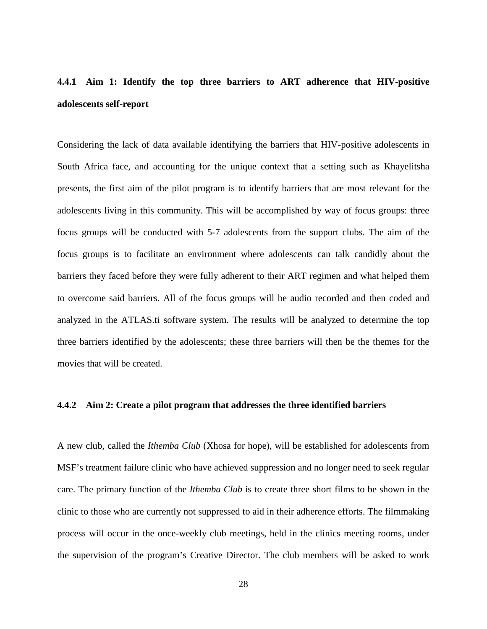# <span id="page-39-0"></span>**4.4.1 Aim 1: Identify the top three barriers to ART adherence that HIV-positive adolescents self-report**

Considering the lack of data available identifying the barriers that HIV-positive adolescents in South Africa face, and accounting for the unique context that a setting such as Khayelitsha presents, the first aim of the pilot program is to identify barriers that are most relevant for the adolescents living in this community. This will be accomplished by way of focus groups: three focus groups will be conducted with 5-7 adolescents from the support clubs. The aim of the focus groups is to facilitate an environment where adolescents can talk candidly about the barriers they faced before they were fully adherent to their ART regimen and what helped them to overcome said barriers. All of the focus groups will be audio recorded and then coded and analyzed in the ATLAS.ti software system. The results will be analyzed to determine the top three barriers identified by the adolescents; these three barriers will then be the themes for the movies that will be created.

#### <span id="page-39-1"></span>**4.4.2 Aim 2: Create a pilot program that addresses the three identified barriers**

A new club, called the *Ithemba Club* (Xhosa for hope), will be established for adolescents from MSF's treatment failure clinic who have achieved suppression and no longer need to seek regular care. The primary function of the *Ithemba Club* is to create three short films to be shown in the clinic to those who are currently not suppressed to aid in their adherence efforts. The filmmaking process will occur in the once-weekly club meetings, held in the clinics meeting rooms, under the supervision of the program's Creative Director. The club members will be asked to work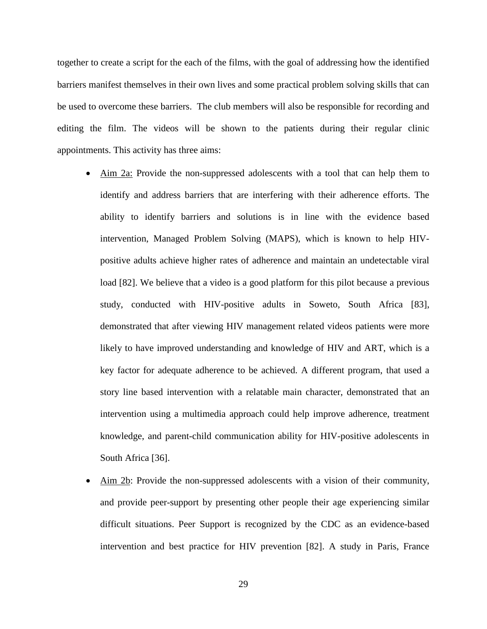together to create a script for the each of the films, with the goal of addressing how the identified barriers manifest themselves in their own lives and some practical problem solving skills that can be used to overcome these barriers. The club members will also be responsible for recording and editing the film. The videos will be shown to the patients during their regular clinic appointments. This activity has three aims:

- Aim 2a: Provide the non-suppressed adolescents with a tool that can help them to identify and address barriers that are interfering with their adherence efforts. The ability to identify barriers and solutions is in line with the evidence based intervention, Managed Problem Solving (MAPS), which is known to help HIVpositive adults achieve higher rates of adherence and maintain an undetectable viral load [82]. We believe that a video is a good platform for this pilot because a previous study, conducted with HIV-positive adults in Soweto, South Africa [83], demonstrated that after viewing HIV management related videos patients were more likely to have improved understanding and knowledge of HIV and ART, which is a key factor for adequate adherence to be achieved. A different program, that used a story line based intervention with a relatable main character, demonstrated that an intervention using a multimedia approach could help improve adherence, treatment knowledge, and parent-child communication ability for HIV-positive adolescents in South Africa [36].
- Aim 2b: Provide the non-suppressed adolescents with a vision of their community, and provide peer-support by presenting other people their age experiencing similar difficult situations. Peer Support is recognized by the CDC as an evidence-based intervention and best practice for HIV prevention [82]. A study in Paris, France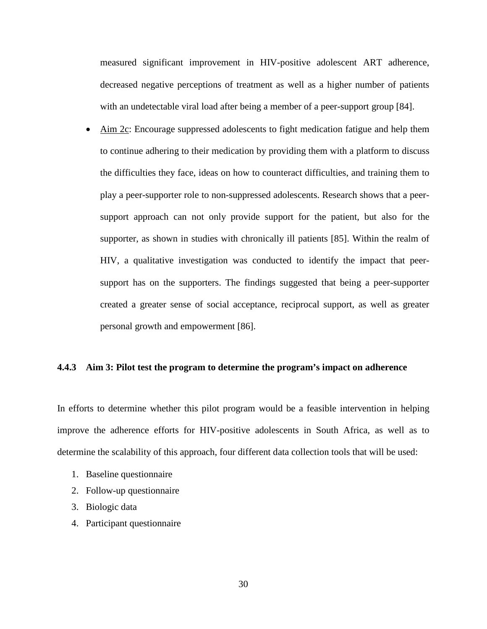measured significant improvement in HIV-positive adolescent ART adherence, decreased negative perceptions of treatment as well as a higher number of patients with an undetectable viral load after being a member of a peer-support group [84].

• Aim 2c: Encourage suppressed adolescents to fight medication fatigue and help them to continue adhering to their medication by providing them with a platform to discuss the difficulties they face, ideas on how to counteract difficulties, and training them to play a peer-supporter role to non-suppressed adolescents. Research shows that a peersupport approach can not only provide support for the patient, but also for the supporter, as shown in studies with chronically ill patients [85]. Within the realm of HIV, a qualitative investigation was conducted to identify the impact that peersupport has on the supporters. The findings suggested that being a peer-supporter created a greater sense of social acceptance, reciprocal support, as well as greater personal growth and empowerment [86].

## <span id="page-41-0"></span>**4.4.3 Aim 3: Pilot test the program to determine the program's impact on adherence**

In efforts to determine whether this pilot program would be a feasible intervention in helping improve the adherence efforts for HIV-positive adolescents in South Africa, as well as to determine the scalability of this approach, four different data collection tools that will be used:

- 1. Baseline questionnaire
- 2. Follow-up questionnaire
- 3. Biologic data
- 4. Participant questionnaire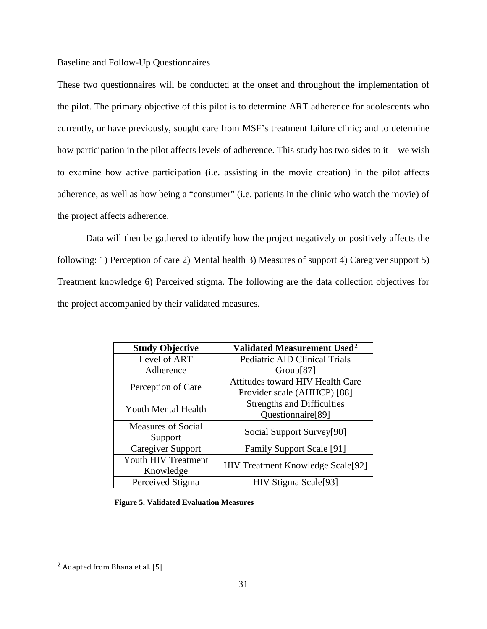## <span id="page-42-0"></span>Baseline and Follow-Up Questionnaires

These two questionnaires will be conducted at the onset and throughout the implementation of the pilot. The primary objective of this pilot is to determine ART adherence for adolescents who currently, or have previously, sought care from MSF's treatment failure clinic; and to determine how participation in the pilot affects levels of adherence. This study has two sides to it – we wish to examine how active participation (i.e. assisting in the movie creation) in the pilot affects adherence, as well as how being a "consumer" (i.e. patients in the clinic who watch the movie) of the project affects adherence.

Data will then be gathered to identify how the project negatively or positively affects the following: 1) Perception of care 2) Mental health 3) Measures of support 4) Caregiver support 5) Treatment knowledge 6) Perceived stigma. The following are the data collection objectives for the project accompanied by their validated measures.

| <b>Study Objective</b>     | Validated Measurement Used <sup>2</sup>  |  |
|----------------------------|------------------------------------------|--|
| Level of ART               | <b>Pediatric AID Clinical Trials</b>     |  |
| Adherence                  | Group[87]                                |  |
| Perception of Care         | <b>Attitudes toward HIV Health Care</b>  |  |
|                            | Provider scale (AHHCP) [88]              |  |
| <b>Youth Mental Health</b> | <b>Strengths and Difficulties</b>        |  |
|                            | Questionnaire <sup>[89]</sup>            |  |
| <b>Measures of Social</b>  | Social Support Survey[90]                |  |
| Support                    |                                          |  |
| <b>Caregiver Support</b>   | <b>Family Support Scale</b> [91]         |  |
| Youth HIV Treatment        |                                          |  |
| Knowledge                  | <b>HIV Treatment Knowledge Scale[92]</b> |  |
| Perceived Stigma           | HIV Stigma Scale[93]                     |  |

**Figure 5. Validated Evaluation Measures**

 $\overline{a}$ 

<span id="page-42-1"></span><sup>2</sup> Adapted from Bhana et al. [5]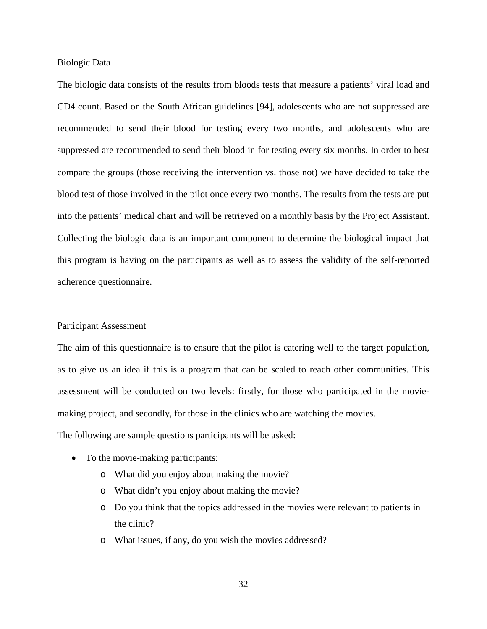#### Biologic Data

The biologic data consists of the results from bloods tests that measure a patients' viral load and CD4 count. Based on the South African guidelines [94], adolescents who are not suppressed are recommended to send their blood for testing every two months, and adolescents who are suppressed are recommended to send their blood in for testing every six months. In order to best compare the groups (those receiving the intervention vs. those not) we have decided to take the blood test of those involved in the pilot once every two months. The results from the tests are put into the patients' medical chart and will be retrieved on a monthly basis by the Project Assistant. Collecting the biologic data is an important component to determine the biological impact that this program is having on the participants as well as to assess the validity of the self-reported adherence questionnaire.

## Participant Assessment

The aim of this questionnaire is to ensure that the pilot is catering well to the target population, as to give us an idea if this is a program that can be scaled to reach other communities. This assessment will be conducted on two levels: firstly, for those who participated in the moviemaking project, and secondly, for those in the clinics who are watching the movies.

The following are sample questions participants will be asked:

- To the movie-making participants:
	- o What did you enjoy about making the movie?
	- o What didn't you enjoy about making the movie?
	- o Do you think that the topics addressed in the movies were relevant to patients in the clinic?
	- o What issues, if any, do you wish the movies addressed?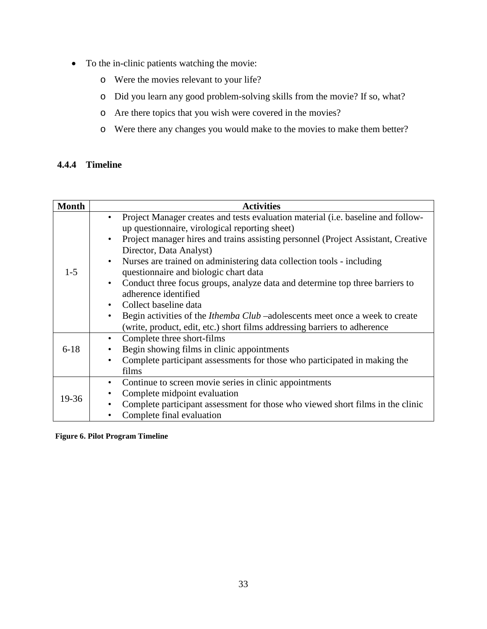- <span id="page-44-1"></span>• To the in-clinic patients watching the movie:
	- o Were the movies relevant to your life?
	- o Did you learn any good problem-solving skills from the movie? If so, what?
	- o Are there topics that you wish were covered in the movies?
	- o Were there any changes you would make to the movies to make them better?

## <span id="page-44-0"></span>**4.4.4 Timeline**

| <b>Month</b> | <b>Activities</b>                                                                   |
|--------------|-------------------------------------------------------------------------------------|
|              | Project Manager creates and tests evaluation material (i.e. baseline and follow-    |
|              | up questionnaire, virological reporting sheet)                                      |
|              | Project manager hires and trains assisting personnel (Project Assistant, Creative   |
|              | Director, Data Analyst)                                                             |
|              | Nurses are trained on administering data collection tools - including               |
| $1 - 5$      | questionnaire and biologic chart data                                               |
|              | Conduct three focus groups, analyze data and determine top three barriers to        |
|              | adherence identified                                                                |
|              | Collect baseline data                                                               |
|              | Begin activities of the <i>Ithemba Club</i> –adolescents meet once a week to create |
|              | (write, product, edit, etc.) short films addressing barriers to adherence           |
|              | Complete three short-films<br>$\bullet$                                             |
| $6 - 18$     | Begin showing films in clinic appointments                                          |
|              | Complete participant assessments for those who participated in making the           |
|              | films                                                                               |
|              | Continue to screen movie series in clinic appointments<br>$\bullet$                 |
| 19-36        | Complete midpoint evaluation                                                        |
|              | Complete participant assessment for those who viewed short films in the clinic      |
|              | Complete final evaluation                                                           |

**Figure 6. Pilot Program Timeline**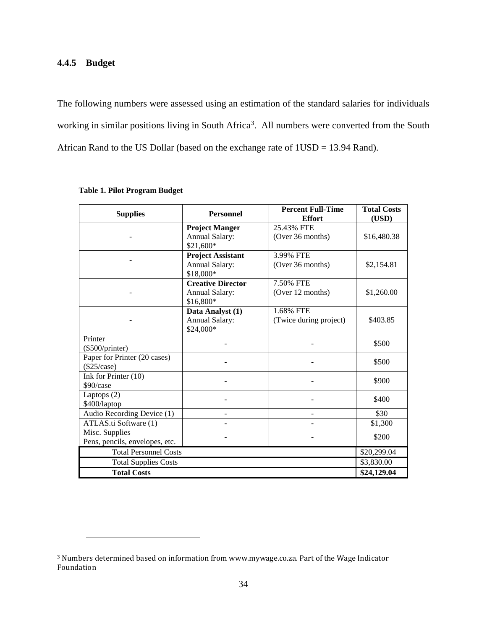## <span id="page-45-1"></span><span id="page-45-0"></span>**4.4.5 Budget**

 $\overline{a}$ 

The following numbers were assessed using an estimation of the standard salaries for individuals working in similar positions living in South Africa<sup>[3](#page-45-2)</sup>. All numbers were converted from the South African Rand to the US Dollar (based on the exchange rate of 1USD = 13.94 Rand).

| <b>Supplies</b>                | <b>Personnel</b>                                  | <b>Percent Full-Time</b><br><b>Effort</b> | <b>Total Costs</b><br>(USD) |
|--------------------------------|---------------------------------------------------|-------------------------------------------|-----------------------------|
|                                | <b>Project Manger</b>                             | 25.43% FTE                                |                             |
|                                | Annual Salary:<br>\$21,600*                       | (Over 36 months)                          | \$16,480.38                 |
|                                | <b>Project Assistant</b><br><b>Annual Salary:</b> | 3.99% FTE                                 |                             |
|                                | \$18,000*                                         | (Over 36 months)                          | \$2,154.81                  |
|                                | <b>Creative Director</b>                          | 7.50% FTE                                 |                             |
|                                | Annual Salary:                                    | (Over 12 months)                          | \$1,260.00                  |
|                                | \$16,800*                                         |                                           |                             |
|                                | Data Analyst (1)                                  | 1.68% FTE                                 |                             |
|                                | Annual Salary:                                    | (Twice during project)                    | \$403.85                    |
|                                | \$24,000*                                         |                                           |                             |
| Printer                        |                                                   |                                           | \$500                       |
| $(\$500/printer)$              |                                                   |                                           |                             |
| Paper for Printer (20 cases)   |                                                   |                                           | \$500                       |
| $(\$25/case)$                  |                                                   |                                           |                             |
| Ink for Printer (10)           |                                                   |                                           | \$900                       |
| \$90/case                      |                                                   |                                           |                             |
| Laptops $(2)$                  |                                                   |                                           | \$400                       |
| \$400/laptop                   |                                                   |                                           |                             |
| Audio Recording Device (1)     | -                                                 |                                           | \$30                        |
| ATLAS.ti Software (1)          |                                                   |                                           | \$1,300                     |
| Misc. Supplies                 |                                                   |                                           | \$200                       |
| Pens, pencils, envelopes, etc. |                                                   |                                           |                             |
| <b>Total Personnel Costs</b>   |                                                   |                                           | \$20,299.04                 |
| <b>Total Supplies Costs</b>    | \$3,830.00                                        |                                           |                             |
| <b>Total Costs</b>             | \$24,129.04                                       |                                           |                             |

## **Table 1. Pilot Program Budget**

<span id="page-45-2"></span><sup>3</sup> Numbers determined based on information from www.mywage.co.za. Part of the Wage Indicator Foundation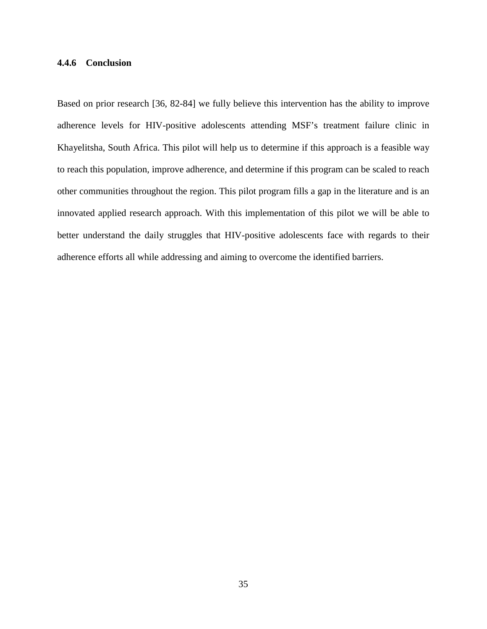## <span id="page-46-0"></span>**4.4.6 Conclusion**

Based on prior research [36, 82-84] we fully believe this intervention has the ability to improve adherence levels for HIV-positive adolescents attending MSF's treatment failure clinic in Khayelitsha, South Africa. This pilot will help us to determine if this approach is a feasible way to reach this population, improve adherence, and determine if this program can be scaled to reach other communities throughout the region. This pilot program fills a gap in the literature and is an innovated applied research approach. With this implementation of this pilot we will be able to better understand the daily struggles that HIV-positive adolescents face with regards to their adherence efforts all while addressing and aiming to overcome the identified barriers.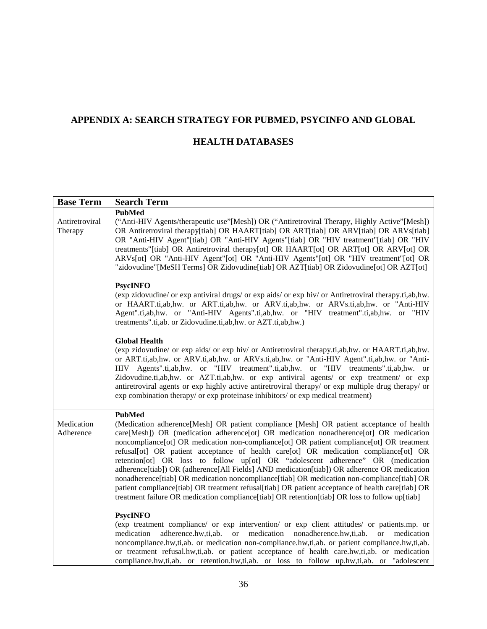# <span id="page-47-0"></span>**APPENDIX A: SEARCH STRATEGY FOR PUBMED, PSYCINFO AND GLOBAL**

## **HEALTH DATABASES**

| <b>Base Term</b>          | <b>Search Term</b>                                                                                                                                                                                                                                                                                                                                                                                                                                                                                                                                                                                                                                                                                                                                                                                                                                                                         |
|---------------------------|--------------------------------------------------------------------------------------------------------------------------------------------------------------------------------------------------------------------------------------------------------------------------------------------------------------------------------------------------------------------------------------------------------------------------------------------------------------------------------------------------------------------------------------------------------------------------------------------------------------------------------------------------------------------------------------------------------------------------------------------------------------------------------------------------------------------------------------------------------------------------------------------|
| Antiretroviral<br>Therapy | <b>PubMed</b><br>("Anti-HIV Agents/therapeutic use"[Mesh]) OR ("Antiretroviral Therapy, Highly Active"[Mesh])<br>OR Antiretroviral therapy[tiab] OR HAART[tiab] OR ART[tiab] OR ARV[tiab] OR ARVs[tiab]<br>OR "Anti-HIV Agent"[tiab] OR "Anti-HIV Agents"[tiab] OR "HIV treatment"[tiab] OR "HIV<br>treatments"[tiab] OR Antiretroviral therapy[ot] OR HAART[ot] OR ART[ot] OR ARV[ot] OR<br>ARVs[ot] OR "Anti-HIV Agent"[ot] OR "Anti-HIV Agents"[ot] OR "HIV treatment"[ot] OR<br>"zidovudine" [MeSH Terms] OR Zidovudine [tiab] OR AZT [tiab] OR Zidovudine [ot] OR AZT [ot]                                                                                                                                                                                                                                                                                                            |
|                           | <b>PsycINFO</b><br>(exp zidovudine/ or exp antiviral drugs/ or exp aids/ or exp hiv/ or Antiretroviral therapy.ti,ab,hw.<br>or HAART.ti,ab,hw. or ART.ti,ab,hw. or ARV.ti,ab,hw. or ARVs.ti,ab,hw. or "Anti-HIV<br>Agent".ti,ab,hw. or "Anti-HIV Agents".ti,ab,hw. or "HIV treatment".ti,ab,hw. or "HIV<br>treatments".ti,ab. or Zidovudine.ti,ab,hw. or AZT.ti,ab,hw.)                                                                                                                                                                                                                                                                                                                                                                                                                                                                                                                    |
|                           | <b>Global Health</b><br>(exp zidovudine/ or exp aids/ or exp hiv/ or Antiretroviral therapy.ti,ab,hw. or HAART.ti,ab,hw.<br>or ART.ti,ab,hw. or ARV.ti,ab,hw. or ARVs.ti,ab,hw. or "Anti-HIV Agent".ti,ab,hw. or "Anti-<br>HIV Agents".ti,ab,hw. or "HIV treatment".ti,ab,hw. or "HIV treatments".ti,ab,hw. or<br>Zidovudine.ti,ab,hw. or AZT.ti,ab,hw. or exp antiviral agents/ or exp treatment/ or exp<br>antiretroviral agents or exp highly active antiretroviral therapy/ or exp multiple drug therapy/ or<br>exp combination therapy/ or exp proteinase inhibitors/ or exp medical treatment)                                                                                                                                                                                                                                                                                       |
| Medication<br>Adherence   | <b>PubMed</b><br>(Medication adherence[Mesh] OR patient compliance [Mesh] OR patient acceptance of health<br>care[Mesh]) OR (medication adherence[ot] OR medication nonadherence[ot] OR medication<br>noncompliance[ot] OR medication non-compliance[ot] OR patient compliance[ot] OR treatment<br>refusal[ot] OR patient acceptance of health care[ot] OR medication compliance[ot] OR<br>retention[ot] OR loss to follow up[ot] OR "adolescent adherence" OR (medication<br>adherence [tiab]) OR (adherence [All Fields] AND medication [tiab]) OR adherence OR medication<br>nonadherence [tiab] OR medication noncompliance [tiab] OR medication non-compliance [tiab] OR<br>patient compliance [tiab] OR treatment refusal [tiab] OR patient acceptance of health care [tiab] OR<br>treatment failure OR medication compliance [tiab] OR retention [tiab] OR loss to follow up [tiab] |
|                           | <b>PsycINFO</b><br>(exp treatment compliance/ or exp intervention/ or exp client attitudes/ or patients.mp. or<br>adherence.hw,ti,ab. or medication nonadherence.hw,ti,ab.<br>medication<br>medication<br><sub>or</sub><br>noncompliance.hw,ti,ab. or medication non-compliance.hw,ti,ab. or patient compliance.hw,ti,ab.<br>or treatment refusal.hw,ti,ab. or patient acceptance of health care.hw,ti,ab. or medication<br>compliance.hw,ti,ab. or retention.hw,ti,ab. or loss to follow up.hw,ti,ab. or "adolescent                                                                                                                                                                                                                                                                                                                                                                      |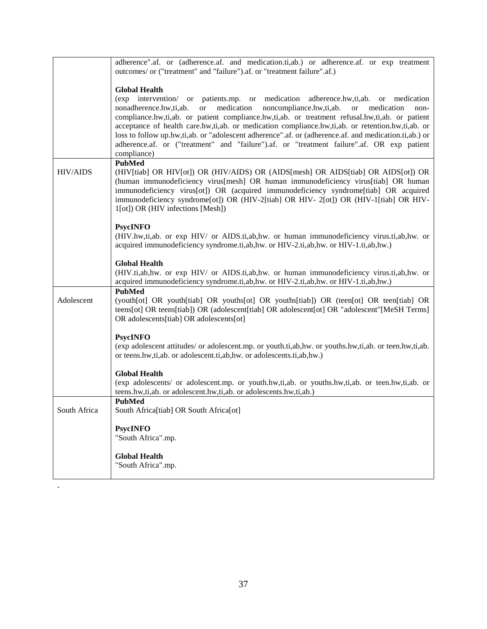|                 | adherence".af. or (adherence.af. and medication.ti,ab.) or adherence.af. or exp treatment<br>outcomes/ or ("treatment" and "failure").af. or "treatment failure".af.)                                                                                                                                                                                                                                                                                                                                                                                                                                                                                     |
|-----------------|-----------------------------------------------------------------------------------------------------------------------------------------------------------------------------------------------------------------------------------------------------------------------------------------------------------------------------------------------------------------------------------------------------------------------------------------------------------------------------------------------------------------------------------------------------------------------------------------------------------------------------------------------------------|
|                 |                                                                                                                                                                                                                                                                                                                                                                                                                                                                                                                                                                                                                                                           |
|                 | <b>Global Health</b><br>(exp intervention/ or patients.mp. or medication adherence.hw,ti,ab. or medication<br>nonadherence.hw,ti,ab.<br>medication<br>noncompliance.hw,ti,ab.<br><b>or</b><br><b>or</b><br>medication<br>non-<br>compliance.hw,ti,ab. or patient compliance.hw,ti,ab. or treatment refusal.hw,ti,ab. or patient<br>acceptance of health care.hw,ti,ab. or medication compliance.hw,ti,ab. or retention.hw,ti,ab. or<br>loss to follow up.hw,ti,ab. or "adolescent adherence".af. or (adherence.af. and medication.ti,ab.) or<br>adherence.af. or ("treatment" and "failure").af. or "treatment failure".af. OR exp patient<br>compliance) |
| <b>HIV/AIDS</b> | <b>PubMed</b><br>(HIV[tiab] OR HIV[ot]) OR (HIV/AIDS) OR (AIDS[mesh] OR AIDS[tiab] OR AIDS[ot]) OR<br>(human immunodeficiency virus[mesh] OR human immunodeficiency virus[tiab] OR human<br>immunodeficiency virus[ot]) OR (acquired immunodeficiency syndrome[tiab] OR acquired<br>immunodeficiency syndrome[ot]) OR (HIV-2[tiab] OR HIV- 2[ot]) OR (HIV-1[tiab] OR HIV-<br>1[ot]) OR (HIV infections [Mesh])                                                                                                                                                                                                                                            |
|                 | <b>PsycINFO</b><br>(HIV.hw,ti,ab. or exp HIV/ or AIDS.ti,ab,hw. or human immunodeficiency virus.ti,ab,hw. or<br>acquired immunodeficiency syndrome.ti,ab,hw. or HIV-2.ti,ab,hw. or HIV-1.ti,ab,hw.)                                                                                                                                                                                                                                                                                                                                                                                                                                                       |
|                 | <b>Global Health</b><br>(HIV.ti,ab,hw. or exp HIV/ or AIDS.ti,ab,hw. or human immunodeficiency virus.ti,ab,hw. or<br>acquired immunodeficiency syndrome.ti,ab,hw. or HIV-2.ti,ab,hw. or HIV-1.ti,ab,hw.)                                                                                                                                                                                                                                                                                                                                                                                                                                                  |
| Adolescent      | <b>PubMed</b><br>(youth[ot] OR youth[tiab] OR youths[ot] OR youths[tiab]) OR (teen[ot] OR teen[tiab] OR<br>teens[ot] OR teens[tiab]) OR (adolescent[tiab] OR adolescent[ot] OR "adolescent"[MeSH Terms]<br>OR adolescents[tiab] OR adolescents[ot]                                                                                                                                                                                                                                                                                                                                                                                                        |
|                 | <b>PsycINFO</b>                                                                                                                                                                                                                                                                                                                                                                                                                                                                                                                                                                                                                                           |
|                 | (exp adolescent attitudes/ or adolescent.mp. or youth.ti,ab,hw. or youths.hw,ti,ab. or teen.hw,ti,ab.<br>or teens.hw,ti,ab. or adolescent.ti,ab,hw. or adolescents.ti,ab,hw.)                                                                                                                                                                                                                                                                                                                                                                                                                                                                             |
|                 | <b>Global Health</b><br>(exp adolescents/ or adolescent.mp. or youth.hw,ti,ab. or youths.hw,ti,ab. or teen.hw,ti,ab. or<br>teens.hw,ti,ab. or adolescent.hw,ti,ab. or adolescents.hw,ti,ab.)                                                                                                                                                                                                                                                                                                                                                                                                                                                              |
| South Africa    | <b>PubMed</b><br>South Africa[tiab] OR South Africa[ot]                                                                                                                                                                                                                                                                                                                                                                                                                                                                                                                                                                                                   |
|                 | <b>PsycINFO</b><br>"South Africa".mp.                                                                                                                                                                                                                                                                                                                                                                                                                                                                                                                                                                                                                     |
|                 | <b>Global Health</b><br>"South Africa".mp.                                                                                                                                                                                                                                                                                                                                                                                                                                                                                                                                                                                                                |

.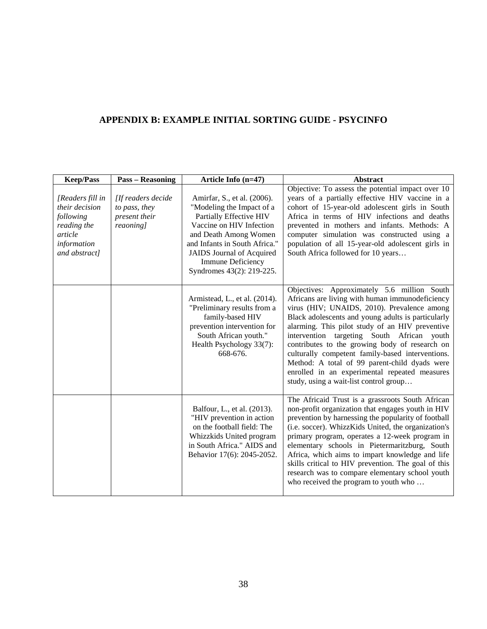# <span id="page-49-0"></span>**APPENDIX B: EXAMPLE INITIAL SORTING GUIDE - PSYCINFO**

| <b>Keep/Pass</b>                                                                                          | <b>Pass – Reasoning</b>                                           | Article Info $(n=47)$                                                                                                                                                                                                                                                  | <b>Abstract</b>                                                                                                                                                                                                                                                                                                                                                                                                                                                                                                                                        |  |
|-----------------------------------------------------------------------------------------------------------|-------------------------------------------------------------------|------------------------------------------------------------------------------------------------------------------------------------------------------------------------------------------------------------------------------------------------------------------------|--------------------------------------------------------------------------------------------------------------------------------------------------------------------------------------------------------------------------------------------------------------------------------------------------------------------------------------------------------------------------------------------------------------------------------------------------------------------------------------------------------------------------------------------------------|--|
| [Readers fill in<br>their decision<br>following<br>reading the<br>article<br>information<br>and abstract] | [If readers decide<br>to pass, they<br>present their<br>reaoning] | Amirfar, S., et al. (2006).<br>"Modeling the Impact of a<br>Partially Effective HIV<br>Vaccine on HIV Infection<br>and Death Among Women<br>and Infants in South Africa."<br><b>JAIDS</b> Journal of Acquired<br><b>Immune Deficiency</b><br>Syndromes 43(2): 219-225. | Objective: To assess the potential impact over 10<br>years of a partially effective HIV vaccine in a<br>cohort of 15-year-old adolescent girls in South<br>Africa in terms of HIV infections and deaths<br>prevented in mothers and infants. Methods: A<br>computer simulation was constructed using a<br>population of all 15-year-old adolescent girls in<br>South Africa followed for 10 years                                                                                                                                                      |  |
|                                                                                                           |                                                                   | Armistead, L., et al. (2014).<br>"Preliminary results from a<br>family-based HIV<br>prevention intervention for<br>South African youth."<br>Health Psychology 33(7):<br>668-676.                                                                                       | Objectives: Approximately 5.6 million South<br>Africans are living with human immunodeficiency<br>virus (HIV; UNAIDS, 2010). Prevalence among<br>Black adolescents and young adults is particularly<br>alarming. This pilot study of an HIV preventive<br>intervention targeting South African youth<br>contributes to the growing body of research on<br>culturally competent family-based interventions.<br>Method: A total of 99 parent-child dyads were<br>enrolled in an experimental repeated measures<br>study, using a wait-list control group |  |
|                                                                                                           |                                                                   | Balfour, L., et al. (2013).<br>"HIV prevention in action<br>on the football field: The<br>Whizzkids United program<br>in South Africa." AIDS and<br>Behavior 17(6): 2045-2052.                                                                                         | The Africaid Trust is a grassroots South African<br>non-profit organization that engages youth in HIV<br>prevention by harnessing the popularity of football<br>(i.e. soccer). WhizzKids United, the organization's<br>primary program, operates a 12-week program in<br>elementary schools in Pietermaritzburg, South<br>Africa, which aims to impart knowledge and life<br>skills critical to HIV prevention. The goal of this<br>research was to compare elementary school youth<br>who received the program to youth who                           |  |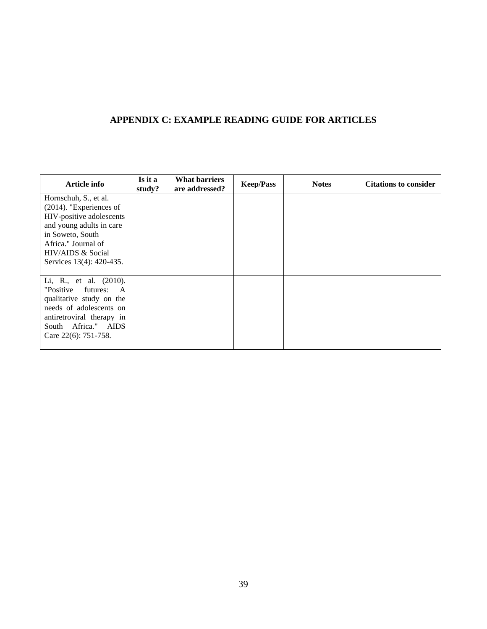## <span id="page-50-0"></span>**APPENDIX C: EXAMPLE READING GUIDE FOR ARTICLES**

| Article info               | Is it a<br>study? | <b>What barriers</b><br>are addressed? | <b>Keep/Pass</b> | <b>Notes</b> | <b>Citations to consider</b> |
|----------------------------|-------------------|----------------------------------------|------------------|--------------|------------------------------|
| Hornschuh, S., et al.      |                   |                                        |                  |              |                              |
| $(2014)$ . "Experiences of |                   |                                        |                  |              |                              |
| HIV-positive adolescents   |                   |                                        |                  |              |                              |
| and young adults in care   |                   |                                        |                  |              |                              |
| in Soweto, South           |                   |                                        |                  |              |                              |
| Africa." Journal of        |                   |                                        |                  |              |                              |
| HIV/AIDS & Social          |                   |                                        |                  |              |                              |
| Services 13(4): 420-435.   |                   |                                        |                  |              |                              |
|                            |                   |                                        |                  |              |                              |
| Li, R., et al. (2010).     |                   |                                        |                  |              |                              |
| "Positive<br>futures:<br>A |                   |                                        |                  |              |                              |
| qualitative study on the   |                   |                                        |                  |              |                              |
| needs of adolescents on    |                   |                                        |                  |              |                              |
| antiretroviral therapy in  |                   |                                        |                  |              |                              |
| South Africa." AIDS        |                   |                                        |                  |              |                              |
| Care 22(6): 751-758.       |                   |                                        |                  |              |                              |
|                            |                   |                                        |                  |              |                              |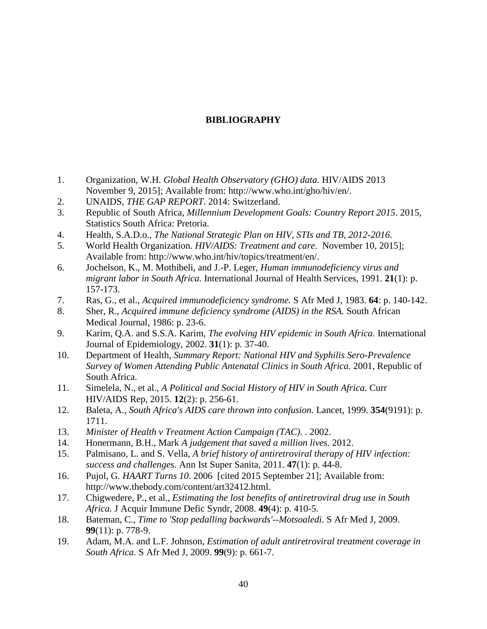## **BIBLIOGRAPHY**

- <span id="page-51-0"></span>1. Organization, W.H. *Global Health Observatory (GHO) data*. HIV/AIDS 2013 November 9, 2015]; Available from: http://www.who.int/gho/hiv/en/.
- 2. UNAIDS, *THE GAP REPORT*. 2014: Switzerland.
- 3. Republic of South Africa, *Millennium Development Goals: Country Report 2015*. 2015, Statistics South Africa: Pretoria.
- 4. Health, S.A.D.o., *The National Strategic Plan on HIV, STIs and TB, 2012-2016*.
- 5. World Health Organization. *HIV/AIDS: Treatment and care*. November 10, 2015]; Available from: http://www.who.int/hiv/topics/treatment/en/.
- 6. Jochelson, K., M. Mothibeli, and J.-P. Leger, *Human immunodeficiency virus and migrant labor in South Africa.* International Journal of Health Services, 1991. **21**(1): p. 157-173.
- 7. Ras, G., et al., *Acquired immunodeficiency syndrome.* S Afr Med J, 1983. **64**: p. 140-142.
- 8. Sher, R., *Acquired immune deficiency syndrome (AIDS) in the RSA.* South African Medical Journal, 1986: p. 23-6.
- 9. Karim, Q.A. and S.S.A. Karim, *The evolving HIV epidemic in South Africa.* International Journal of Epidemiology, 2002. **31**(1): p. 37-40.
- 10. Department of Health, *Summary Report: National HIV and Syphilis Sero-Prevalence Survey of Women Attending Public Antenatal Clinics in South Africa*. 2001, Republic of South Africa.
- 11. Simelela, N., et al., *A Political and Social History of HIV in South Africa.* Curr HIV/AIDS Rep, 2015. **12**(2): p. 256-61.
- 12. Baleta, A., *South Africa's AIDS care thrown into confusion.* Lancet, 1999. **354**(9191): p. 1711.
- 13. *Minister of Health v Treatment Action Campaign (TAC).* . 2002.
- 14. Honermann, B.H., Mark *A judgement that saved a million lives*. 2012.
- 15. Palmisano, L. and S. Vella, *A brief history of antiretroviral therapy of HIV infection: success and challenges.* Ann Ist Super Sanita, 2011. **47**(1): p. 44-8.
- 16. Pujol, G. *HAART Turns 10*. 2006 [cited 2015 September 21]; Available from: http://www.thebody.com/content/art32412.html.
- 17. Chigwedere, P., et al., *Estimating the lost benefits of antiretroviral drug use in South Africa.* J Acquir Immune Defic Syndr, 2008. **49**(4): p. 410-5.
- 18. Bateman, C., *Time to 'Stop pedalling backwards'--Motsoaledi.* S Afr Med J, 2009. **99**(11): p. 778-9.
- 19. Adam, M.A. and L.F. Johnson, *Estimation of adult antiretroviral treatment coverage in South Africa.* S Afr Med J, 2009. **99**(9): p. 661-7.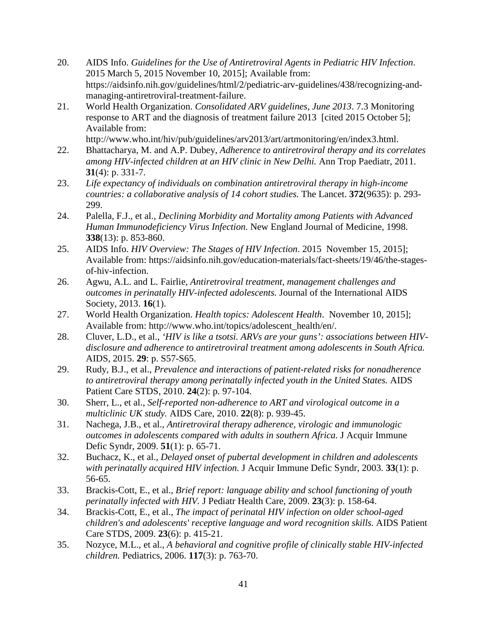- 20. AIDS Info. *Guidelines for the Use of Antiretroviral Agents in Pediatric HIV Infection*. 2015 March 5, 2015 November 10, 2015]; Available from: https://aidsinfo.nih.gov/guidelines/html/2/pediatric-arv-guidelines/438/recognizing-andmanaging-antiretroviral-treatment-failure.
- 21. World Health Organization. *Consolidated ARV guidelines, June 2013*. 7.3 Monitoring response to ART and the diagnosis of treatment failure 2013 [cited 2015 October 5]; Available from:

http://www.who.int/hiv/pub/guidelines/arv2013/art/artmonitoring/en/index3.html.

- 22. Bhattacharya, M. and A.P. Dubey, *Adherence to antiretroviral therapy and its correlates among HIV-infected children at an HIV clinic in New Delhi.* Ann Trop Paediatr, 2011. **31**(4): p. 331-7.
- 23. *Life expectancy of individuals on combination antiretroviral therapy in high-income countries: a collaborative analysis of 14 cohort studies.* The Lancet. **372**(9635): p. 293- 299.
- 24. Palella, F.J., et al., *Declining Morbidity and Mortality among Patients with Advanced Human Immunodeficiency Virus Infection.* New England Journal of Medicine, 1998. **338**(13): p. 853-860.
- 25. AIDS Info. *HIV Overview: The Stages of HIV Infection*. 2015 November 15, 2015]; Available from: https://aidsinfo.nih.gov/education-materials/fact-sheets/19/46/the-stagesof-hiv-infection.
- 26. Agwu, A.L. and L. Fairlie, *Antiretroviral treatment, management challenges and outcomes in perinatally HIV-infected adolescents.* Journal of the International AIDS Society, 2013. **16**(1).
- 27. World Health Organization. *Health topics: Adolescent Health*. November 10, 2015]; Available from: http://www.who.int/topics/adolescent\_health/en/.
- 28. Cluver, L.D., et al., *'HIV is like a tsotsi. ARVs are your guns': associations between HIVdisclosure and adherence to antiretroviral treatment among adolescents in South Africa.* AIDS, 2015. **29**: p. S57-S65.
- 29. Rudy, B.J., et al., *Prevalence and interactions of patient-related risks for nonadherence to antiretroviral therapy among perinatally infected youth in the United States.* AIDS Patient Care STDS, 2010. **24**(2): p. 97-104.
- 30. Sherr, L., et al., *Self-reported non-adherence to ART and virological outcome in a multiclinic UK study.* AIDS Care, 2010. **22**(8): p. 939-45.
- 31. Nachega, J.B., et al., *Antiretroviral therapy adherence, virologic and immunologic outcomes in adolescents compared with adults in southern Africa.* J Acquir Immune Defic Syndr, 2009. **51**(1): p. 65-71.
- 32. Buchacz, K., et al., *Delayed onset of pubertal development in children and adolescents with perinatally acquired HIV infection.* J Acquir Immune Defic Syndr, 2003. **33**(1): p. 56-65.
- 33. Brackis-Cott, E., et al., *Brief report: language ability and school functioning of youth perinatally infected with HIV.* J Pediatr Health Care, 2009. **23**(3): p. 158-64.
- 34. Brackis-Cott, E., et al., *The impact of perinatal HIV infection on older school-aged children's and adolescents' receptive language and word recognition skills.* AIDS Patient Care STDS, 2009. **23**(6): p. 415-21.
- 35. Nozyce, M.L., et al., *A behavioral and cognitive profile of clinically stable HIV-infected children.* Pediatrics, 2006. **117**(3): p. 763-70.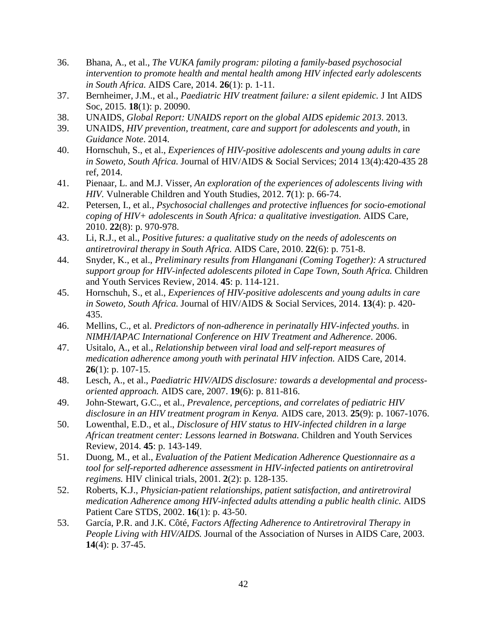- 36. Bhana, A., et al., *The VUKA family program: piloting a family-based psychosocial intervention to promote health and mental health among HIV infected early adolescents in South Africa.* AIDS Care, 2014. **26**(1): p. 1-11.
- 37. Bernheimer, J.M., et al., *Paediatric HIV treatment failure: a silent epidemic.* J Int AIDS Soc, 2015. **18**(1): p. 20090.
- 38. UNAIDS, *Global Report: UNAIDS report on the global AIDS epidemic 2013*. 2013.
- 39. UNAIDS, *HIV prevention, treatment, care and support for adolescents and youth*, in *Guidance Note*. 2014.
- 40. Hornschuh, S., et al., *Experiences of HIV-positive adolescents and young adults in care in Soweto, South Africa.* Journal of HIV/AIDS & Social Services; 2014 13(4):420-435 28 ref, 2014.
- 41. Pienaar, L. and M.J. Visser, *An exploration of the experiences of adolescents living with HIV.* Vulnerable Children and Youth Studies, 2012. **7**(1): p. 66-74.
- 42. Petersen, I., et al., *Psychosocial challenges and protective influences for socio-emotional coping of HIV+ adolescents in South Africa: a qualitative investigation.* AIDS Care, 2010. **22**(8): p. 970-978.
- 43. Li, R.J., et al., *Positive futures: a qualitative study on the needs of adolescents on antiretroviral therapy in South Africa.* AIDS Care, 2010. **22**(6): p. 751-8.
- 44. Snyder, K., et al., *Preliminary results from Hlanganani (Coming Together): A structured support group for HIV-infected adolescents piloted in Cape Town, South Africa.* Children and Youth Services Review, 2014. **45**: p. 114-121.
- 45. Hornschuh, S., et al., *Experiences of HIV-positive adolescents and young adults in care in Soweto, South Africa.* Journal of HIV/AIDS & Social Services, 2014. **13**(4): p. 420- 435.
- 46. Mellins, C., et al. *Predictors of non-adherence in perinatally HIV-infected youths*. in *NIMH/IAPAC International Conference on HIV Treatment and Adherence*. 2006.
- 47. Usitalo, A., et al., *Relationship between viral load and self-report measures of medication adherence among youth with perinatal HIV infection.* AIDS Care, 2014. **26**(1): p. 107-15.
- 48. Lesch, A., et al., *Paediatric HIV/AIDS disclosure: towards a developmental and processoriented approach.* AIDS care, 2007. **19**(6): p. 811-816.
- 49. John-Stewart, G.C., et al., *Prevalence, perceptions, and correlates of pediatric HIV disclosure in an HIV treatment program in Kenya.* AIDS care, 2013. **25**(9): p. 1067-1076.
- 50. Lowenthal, E.D., et al., *Disclosure of HIV status to HIV-infected children in a large African treatment center: Lessons learned in Botswana.* Children and Youth Services Review, 2014. **45**: p. 143-149.
- 51. Duong, M., et al., *Evaluation of the Patient Medication Adherence Questionnaire as a tool for self-reported adherence assessment in HIV-infected patients on antiretroviral regimens.* HIV clinical trials, 2001. **2**(2): p. 128-135.
- 52. Roberts, K.J., *Physician-patient relationships, patient satisfaction, and antiretroviral medication Adherence among HIV-infected adults attending a public health clinic.* AIDS Patient Care STDS, 2002. **16**(1): p. 43-50.
- 53. García, P.R. and J.K. Côté, *Factors Affecting Adherence to Antiretroviral Therapy in People Living with HIV/AIDS.* Journal of the Association of Nurses in AIDS Care, 2003. **14**(4): p. 37-45.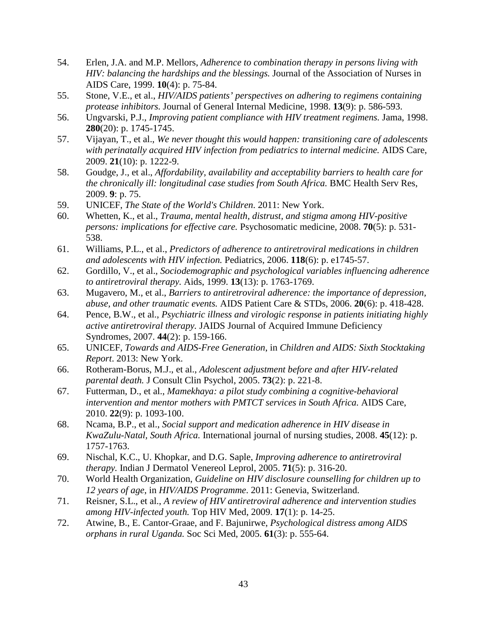- 54. Erlen, J.A. and M.P. Mellors, *Adherence to combination therapy in persons living with HIV: balancing the hardships and the blessings.* Journal of the Association of Nurses in AIDS Care, 1999. **10**(4): p. 75-84.
- 55. Stone, V.E., et al., *HIV/AIDS patients' perspectives on adhering to regimens containing protease inhibitors.* Journal of General Internal Medicine, 1998. **13**(9): p. 586-593.
- 56. Ungvarski, P.J., *Improving patient compliance with HIV treatment regimens.* Jama, 1998. **280**(20): p. 1745-1745.
- 57. Vijayan, T., et al., *We never thought this would happen: transitioning care of adolescents with perinatally acquired HIV infection from pediatrics to internal medicine.* AIDS Care, 2009. **21**(10): p. 1222-9.
- 58. Goudge, J., et al., *Affordability, availability and acceptability barriers to health care for the chronically ill: longitudinal case studies from South Africa.* BMC Health Serv Res, 2009. **9**: p. 75.
- 59. UNICEF, *The State of the World's Children*. 2011: New York.
- 60. Whetten, K., et al., *Trauma, mental health, distrust, and stigma among HIV-positive persons: implications for effective care.* Psychosomatic medicine, 2008. **70**(5): p. 531- 538.
- 61. Williams, P.L., et al., *Predictors of adherence to antiretroviral medications in children and adolescents with HIV infection.* Pediatrics, 2006. **118**(6): p. e1745-57.
- 62. Gordillo, V., et al., *Sociodemographic and psychological variables influencing adherence to antiretroviral therapy.* Aids, 1999. **13**(13): p. 1763-1769.
- 63. Mugavero, M., et al., *Barriers to antiretroviral adherence: the importance of depression, abuse, and other traumatic events.* AIDS Patient Care & STDs, 2006. **20**(6): p. 418-428.
- 64. Pence, B.W., et al., *Psychiatric illness and virologic response in patients initiating highly active antiretroviral therapy.* JAIDS Journal of Acquired Immune Deficiency Syndromes, 2007. **44**(2): p. 159-166.
- 65. UNICEF, *Towards and AIDS-Free Generation*, in *Children and AIDS: Sixth Stocktaking Report*. 2013: New York.
- 66. Rotheram-Borus, M.J., et al., *Adolescent adjustment before and after HIV-related parental death.* J Consult Clin Psychol, 2005. **73**(2): p. 221-8.
- 67. Futterman, D., et al., *Mamekhaya: a pilot study combining a cognitive-behavioral intervention and mentor mothers with PMTCT services in South Africa.* AIDS Care, 2010. **22**(9): p. 1093-100.
- 68. Ncama, B.P., et al., *Social support and medication adherence in HIV disease in KwaZulu-Natal, South Africa.* International journal of nursing studies, 2008. **45**(12): p. 1757-1763.
- 69. Nischal, K.C., U. Khopkar, and D.G. Saple, *Improving adherence to antiretroviral therapy.* Indian J Dermatol Venereol Leprol, 2005. **71**(5): p. 316-20.
- 70. World Health Organization, *Guideline on HIV disclosure counselling for children up to 12 years of age*, in *HIV/AIDS Programme*. 2011: Genevia, Switzerland.
- 71. Reisner, S.L., et al., *A review of HIV antiretroviral adherence and intervention studies among HIV-infected youth.* Top HIV Med, 2009. **17**(1): p. 14-25.
- 72. Atwine, B., E. Cantor-Graae, and F. Bajunirwe, *Psychological distress among AIDS orphans in rural Uganda.* Soc Sci Med, 2005. **61**(3): p. 555-64.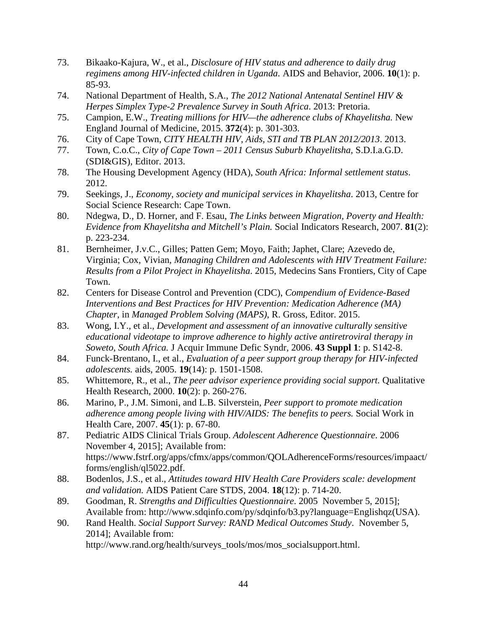- 73. Bikaako-Kajura, W., et al., *Disclosure of HIV status and adherence to daily drug regimens among HIV-infected children in Uganda.* AIDS and Behavior, 2006. **10**(1): p. 85-93.
- 74. National Department of Health, S.A., *The 2012 National Antenatal Sentinel HIV & Herpes Simplex Type-2 Prevalence Survey in South Africa*. 2013: Pretoria.
- 75. Campion, E.W., *Treating millions for HIV—the adherence clubs of Khayelitsha.* New England Journal of Medicine, 2015. **372**(4): p. 301-303.
- 76. City of Cape Town, *CITY HEALTH HIV, Aids, STI and TB PLAN 2012/2013*. 2013.
- 77. Town, C.o.C., *City of Cape Town – 2011 Census Suburb Khayelitsha*, S.D.I.a.G.D. (SDI&GIS), Editor. 2013.
- 78. The Housing Development Agency (HDA), *South Africa: Informal settlement status*. 2012.
- 79. Seekings, J., *Economy, society and municipal services in Khayelitsha*. 2013, Centre for Social Science Research: Cape Town.
- 80. Ndegwa, D., D. Horner, and F. Esau, *The Links between Migration, Poverty and Health: Evidence from Khayelitsha and Mitchell's Plain.* Social Indicators Research, 2007. **81**(2): p. 223-234.
- 81. Bernheimer, J.v.C., Gilles; Patten Gem; Moyo, Faith; Japhet, Clare; Azevedo de, Virginia; Cox, Vivian, *Managing Children and Adolescents with HIV Treatment Failure: Results from a Pilot Project in Khayelitsha*. 2015, Medecins Sans Frontiers, City of Cape Town.
- 82. Centers for Disease Control and Prevention (CDC), *Compendium of Evidence-Based Interventions and Best Practices for HIV Prevention: Medication Adherence (MA) Chapter*, in *Managed Problem Solving (MAPS)*, R. Gross, Editor. 2015.
- 83. Wong, I.Y., et al., *Development and assessment of an innovative culturally sensitive educational videotape to improve adherence to highly active antiretroviral therapy in Soweto, South Africa.* J Acquir Immune Defic Syndr, 2006. **43 Suppl 1**: p. S142-8.
- 84. Funck-Brentano, I., et al., *Evaluation of a peer support group therapy for HIV-infected adolescents.* aids, 2005. **19**(14): p. 1501-1508.
- 85. Whittemore, R., et al., *The peer advisor experience providing social support.* Qualitative Health Research, 2000. **10**(2): p. 260-276.
- 86. Marino, P., J.M. Simoni, and L.B. Silverstein, *Peer support to promote medication adherence among people living with HIV/AIDS: The benefits to peers.* Social Work in Health Care, 2007. **45**(1): p. 67-80.
- 87. Pediatric AIDS Clinical Trials Group. *Adolescent Adherence Questionnaire*. 2006 November 4, 2015]; Available from: https://www.fstrf.org/apps/cfmx/apps/common/QOLAdherenceForms/resources/impaact/ forms/english/ql5022.pdf.
- 88. Bodenlos, J.S., et al., *Attitudes toward HIV Health Care Providers scale: development and validation.* AIDS Patient Care STDS, 2004. **18**(12): p. 714-20.
- 89. Goodman, R. *Strengths and Difficulties Questionnaire*. 2005 November 5, 2015]; Available from: http://www.sdqinfo.com/py/sdqinfo/b3.py?language=Englishqz(USA).
- 90. Rand Health. *Social Support Survey: RAND Medical Outcomes Study*. November 5, 2014]; Available from: http://www.rand.org/health/surveys\_tools/mos/mos\_socialsupport.html.